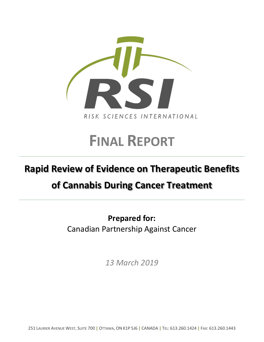

# **FINAL REPORT**

# **Rapid Review of Evidence on Therapeutic Benefits**

# **of Cannabis During Cancer Treatment**

**Prepared for:** Canadian Partnership Against Cancer

*13 March 2019*

251 LAURIER AVENUE WEST, SUITE 700 **|** OTTAWA, ON K1P 5J6 **|** CANADA **|** TEL: 613.260.1424 **|** FAX: 613.260.1443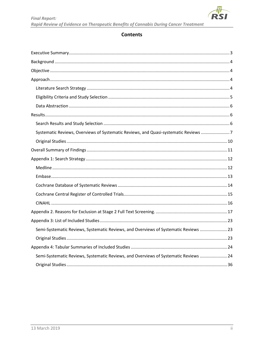

# **Contents**

| Systematic Reviews, Overviews of Systematic Reviews, and Quasi-systematic Reviews 7  |  |
|--------------------------------------------------------------------------------------|--|
|                                                                                      |  |
|                                                                                      |  |
|                                                                                      |  |
|                                                                                      |  |
|                                                                                      |  |
|                                                                                      |  |
|                                                                                      |  |
|                                                                                      |  |
|                                                                                      |  |
|                                                                                      |  |
| Semi-Systematic Reviews, Systematic Reviews, and Overviews of Systematic Reviews  23 |  |
|                                                                                      |  |
|                                                                                      |  |
| Semi-Systematic Reviews, Systematic Reviews, and Overviews of Systematic Reviews  24 |  |
|                                                                                      |  |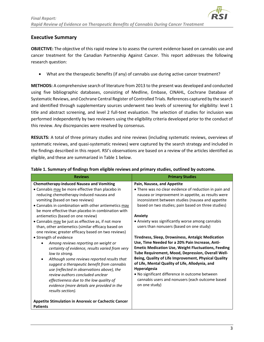

#### <span id="page-2-0"></span>**Executive Summary**

**OBJECTIVE:** The objective of this rapid review is to assess the current evidence based on cannabis use and cancer treatment for the Canadian Partnership Against Cancer. This report addresses the following research question:

• What are the therapeutic benefits (if any) of cannabis use during active cancer treatment?

**METHODS:** A comprehensive search of literature from 2013 to the present was developed and conducted using five bibliographic databases, consisting of Medline, Embase, CINAHL, Cochrane Database of Systematic Reviews, and Cochrane Central Register of Controlled Trials. References captured by the search and identified through supplementary sources underwent two levels of screening for eligibility: level 1 title and abstract screening, and level 2 full-text evaluation. The selection of studies for inclusion was performed independently by two reviewers using the eligibility criteria developed prior to the conduct of this review. Any discrepancies were resolved by consensus.

**RESULTS:** A total of three primary studies and nine reviews (including systematic reviews, overviews of systematic reviews, and quasi-systematic reviews) were captured by the search strategy and included in the findings described in this report. RSI's observations are based on a review of the articles identified as eligible, and these are summarized in Table 1 below.

| <b>Reviews</b>                                                                                                                                                                                                                                                                                                                                                                                                                                                                                                                                                                                                                                                                                                                                                                                                                                                                                                                                                                                                                  | <b>Primary Studies</b>                                                                                                                                                                                                                                                                                                                                                                                                                                                                                                                                                                                                                                                                                                                                                                                                                              |
|---------------------------------------------------------------------------------------------------------------------------------------------------------------------------------------------------------------------------------------------------------------------------------------------------------------------------------------------------------------------------------------------------------------------------------------------------------------------------------------------------------------------------------------------------------------------------------------------------------------------------------------------------------------------------------------------------------------------------------------------------------------------------------------------------------------------------------------------------------------------------------------------------------------------------------------------------------------------------------------------------------------------------------|-----------------------------------------------------------------------------------------------------------------------------------------------------------------------------------------------------------------------------------------------------------------------------------------------------------------------------------------------------------------------------------------------------------------------------------------------------------------------------------------------------------------------------------------------------------------------------------------------------------------------------------------------------------------------------------------------------------------------------------------------------------------------------------------------------------------------------------------------------|
| <b>Chemotherapy-induced Nausea and Vomiting</b><br>• Cannabis may be more effective than placebo in<br>reducing chemotherapy-induced nausea and<br>vomiting (based on two reviews)<br>• Cannabis in combination with other antiemetics may<br>be more effective than placebo in combination with<br>antiemetics (based on one review)<br>• Cannabis may be just as effective as, if not more<br>than, other antiemetics (similar efficacy based on<br>one review; greater efficacy based on two reviews)<br>• Strength of evidence<br>Among reviews reporting on weight or<br>certainty of evidence, results varied from very<br>low to strong.<br>Although some reviews reported results that<br>suggest a therapeutic benefit from cannabis<br>use (reflected in observations above), the<br>review authors concluded unclear<br>effectiveness due to the low quality of<br>evidence (more details are provided in the<br>results section).<br><b>Appetite Stimulation in Anorexic or Cachectic Cancer</b><br><b>Patients</b> | Pain, Nausea, and Appetite<br>• There was no clear evidence of reduction in pain and<br>nausea or improvement in appetite, as results were<br>inconsistent between studies (nausea and appetite<br>based on two studies; pain based on three studies)<br>Anxiety<br>• Anxiety was significantly worse among cannabis<br>users than nonusers (based on one study)<br>Tiredness, Sleep, Drowsiness, Antalgic Medication<br>Use, Time Needed for a 20% Pain Increase, Anti-<br><b>Emetic Medication Use, Weight Fluctuations, Feeding</b><br>Tube Requirement, Mood, Depression, Overall Well-<br>Being, Quality of Life Improvement, Physical Quality<br>of Life, Mental Quality of Life, Allodynia, and<br><b>Hyperalgesia</b><br>• No significant difference in outcome between<br>cannabis users and nonusers (each outcome based<br>on one study) |

#### **Table 1. Summary of findings from eligible reviews and primary studies, outlined by outcome.**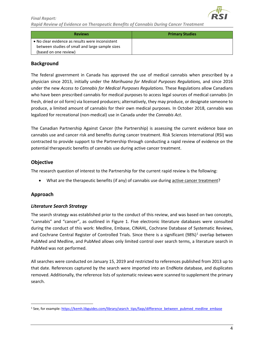

*Rapid Review of Evidence on Therapeutic Benefits of Cannabis During Cancer Treatment*

| <b>Reviews</b>                                                                                                               | <b>Primary Studies</b> |
|------------------------------------------------------------------------------------------------------------------------------|------------------------|
| • No clear evidence as results were inconsistent<br>between studies of small and large sample sizes<br>(based on one review) |                        |

#### <span id="page-3-0"></span>**Background**

The federal government in Canada has approved the use of medical cannabis when prescribed by a physician since 2013, initially under the *Marihuana for Medical Purposes Regulations,* and since 2016 under the new *Access to Cannabis for Medical Purposes Regulations.* These Regulations allow Canadians who have been prescribed cannabis for medical purposes to access legal sources of medical cannabis (in fresh, dried or oil form) via licensed producers; alternatively, they may produce, or designate someone to produce, a limited amount of cannabis for their own medical purposes. In October 2018, cannabis was legalized for recreational (non-medical) use in Canada under the *Cannabis Act*.

The Canadian Partnership Against Cancer (the Partnership) is assessing the current evidence base on cannabis use and cancer risk and benefits during cancer treatment. Risk Sciences International (RSI) was contracted to provide support to the Partnership through conducting a rapid review of evidence on the potential therapeutic benefits of cannabis use during active cancer treatment.

#### <span id="page-3-1"></span>**Objective**

The research question of interest to the Partnership for the current rapid review is the following:

• What are the therapeutic benefits (if any) of cannabis use during active cancer treatment?

#### <span id="page-3-2"></span>**Approach**

#### <span id="page-3-3"></span>*Literature Search Strategy*

The search strategy was established prior to the conduct of this review, and was based on two concepts, "cannabis" and "cancer", as outlined in Figure 1. Five electronic literature databases were consulted during the conduct of this work: Medline, Embase, CINAHL, Cochrane Database of Systematic Reviews, and Cochrane Central Register of Controlled Trials. Since there is a significant (98%)<sup>[1](#page-3-4)</sup> overlap between PubMed and Medline, and PubMed allows only limited control over search terms, a literature search in PubMed was not performed.

All searches were conducted on January 15, 2019 and restricted to references published from 2013 up to that date. References captured by the search were imported into an EndNote database, and duplicates removed. Additionally, the reference lists of systematic reviews were scanned to supplement the primary search.

<span id="page-3-4"></span><sup>&</sup>lt;sup>1</sup> See, for example[: https://kemh.libguides.com/library/search\\_tips/faqs/difference\\_between\\_pubmed\\_medline\\_embase](https://kemh.libguides.com/library/search_tips/faqs/difference_between_pubmed_medline_embase)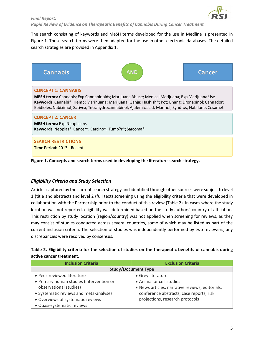

The search consisting of keywords and MeSH terms developed for the use in Medline is presented in Figure 1. These search terms were then adapted for the use in other electronic databases. The detailed search strategies are provided in Appendix 1.



#### **CONCEPT 1: CANNABIS**

MESH terms: Cannabis; Exp Cannabinoids; Marijuana Abuse; Medical Marijuana; Exp Marijuana Use Keywords: Cannabi\*; Hemp; Marihuana; Marijuana; Ganja; Hashish\*; Pot; Bhang; Dronabinol; Cannador; Epidiolex; Nabiximol; Sativex; Tetrahydrocannabinol; Ajulemic acid; Marinol; Syndros; Nabilone; Cesamet

#### **CONCEPT 2: CANCER**

**MESH terms:** Exp Neoplasms Keywords: Neoplas\*; Cancer\*; Carcino\*; Tumo?r\*; Sarcoma\*

### **SEARCH RESTRICTIONS**

Time Period: 2013 - Recent

**Figure 1. Concepts and search terms used in developing the literature search strategy.**

#### <span id="page-4-0"></span>*Eligibility Criteria and Study Selection*

Articles captured by the current search strategy and identified through other sources were subject to level 1 (title and abstract) and level 2 (full text) screening using the eligibility criteria that were developed in collaboration with the Partnership prior to the conduct of this review (Table 2). In cases where the study location was not reported, eligibility was determined based on the study authors' country of affiliation. This restriction by study location (region/country) was not applied when screening for reviews, as they may consist of studies conducted across several countries, some of which may be listed as part of the current inclusion criteria. The selection of studies was independently performed by two reviewers; any discrepancies were resolved by consensus.

| Table 2. Eligibility criteria for the selection of studies on the therapeutic benefits of cannabis during |  |
|-----------------------------------------------------------------------------------------------------------|--|
| active cancer treatment.                                                                                  |  |

| <b>Inclusion Criteria</b>                                                          | <b>Exclusion Criteria</b>                       |  |
|------------------------------------------------------------------------------------|-------------------------------------------------|--|
| <b>Study/Document Type</b>                                                         |                                                 |  |
| • Peer-reviewed literature                                                         | • Grey literature                               |  |
| • Primary human studies (intervention or                                           | • Animal or cell studies                        |  |
| observational studies)                                                             | • News articles, narrative reviews, editorials, |  |
| • Systematic reviews and meta-analyses<br>conference abstracts, case reports, risk |                                                 |  |
| • Overviews of systematic reviews                                                  | projections, research protocols                 |  |
| · Quasi-systematic reviews                                                         |                                                 |  |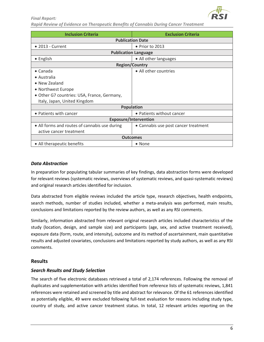

| <b>Inclusion Criteria</b>                     | <b>Exclusion Criteria</b>            |  |  |
|-----------------------------------------------|--------------------------------------|--|--|
| <b>Publication Date</b>                       |                                      |  |  |
| $\bullet$ 2013 - Current                      | $\bullet$ Prior to 2013              |  |  |
|                                               | <b>Publication Language</b>          |  |  |
| • English                                     | • All other languages                |  |  |
| <b>Region/Country</b>                         |                                      |  |  |
| $\bullet$ Canada                              | • All other countries                |  |  |
| • Australia                                   |                                      |  |  |
| • New Zealand                                 |                                      |  |  |
| • Northwest Europe                            |                                      |  |  |
| • Other G7 countries: USA, France, Germany,   |                                      |  |  |
| Italy, Japan, United Kingdom                  |                                      |  |  |
|                                               | <b>Population</b>                    |  |  |
| • Patients with cancer                        | • Patients without cancer            |  |  |
| <b>Exposure/Intervention</b>                  |                                      |  |  |
| • All forms and routes of cannabis use during | • Cannabis use post cancer treatment |  |  |
| active cancer treatment                       |                                      |  |  |
| <b>Outcomes</b>                               |                                      |  |  |
| • All therapeutic benefits<br>• None          |                                      |  |  |

#### <span id="page-5-0"></span>*Data Abstraction*

In preparation for populating tabular summaries of key findings, data abstraction forms were developed for relevant reviews (systematic reviews, overviews of systematic reviews, and quasi-systematic reviews) and original research articles identified for inclusion.

Data abstracted from eligible reviews included the article type, research objectives, health endpoints, search methods, number of studies included, whether a meta-analysis was performed, main results, conclusions and limitations reported by the review authors, as well as any RSI comments.

Similarly, information abstracted from relevant original research articles included characteristics of the study (location, design, and sample size) and participants (age, sex, and active treatment received), exposure data (form, route, and intensity), outcome and its method of ascertainment, main quantitative results and adjusted covariates, conclusions and limitations reported by study authors, as well as any RSI comments.

#### <span id="page-5-1"></span>**Results**

#### <span id="page-5-2"></span>*Search Results and Study Selection*

The search of five electronic databases retrieved a total of 2,174 references. Following the removal of duplicates and supplementation with articles identified from reference lists of systematic reviews, 1,841 references were retained and screened by title and abstract for relevance. Of the 61 references identified as potentially eligible, 49 were excluded following full-text evaluation for reasons including study type, country of study, and active cancer treatment status. In total, 12 relevant articles reporting on the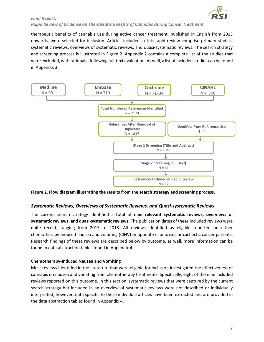

therapeutic benefits of cannabis use during active cancer treatment, published in English from 2013 onwards, were selected for inclusion. Articles included in this rapid review comprise primary studies, systematic reviews, overviews of systematic reviews, and quasi-systematic reviews. The search strategy and screening process is illustrated in Figure 2. Appendix 2 contains a complete list of the studies that were excluded, with rationale, following full-text evaluation. As well, a list of included studies can be found in Appendix 3.



**Figure 2. Flow diagram illustrating the results from the search strategy and screening process.** 

#### <span id="page-6-0"></span>*Systematic Reviews, Overviews of Systematic Reviews, and Quasi-systematic Reviews*

The current search strategy identified a total of **nine relevant systematic reviews, overviews of systematic reviews, and quasi-systematic reviews.** The publication dates of these included reviews were quite recent, ranging from 2015 to 2018. All reviews identified as eligible reported on either chemotherapy-induced nausea and vomiting (CINV) or appetite in anorexic or cachectic cancer patients. Research findings of these reviews are described below by outcome, as well, more information can be found in data abstraction tables found in Appendix 4.

#### **Chemotherapy-Induced Nausea and Vomiting**

Most reviews identified in the literature that were eligible for inclusion investigated the effectiveness of cannabis on nausea and vomiting from chemotherapy treatments. Specifically, eight of the nine included reviews reported on this outcome. In this section, systematic reviews that were captured by the current search strategy but included in an overview of systematic reviews were not described or individually interpreted; however, data specific to these individual articles have been extracted and are provided in the data abstraction tables found in Appendix 4.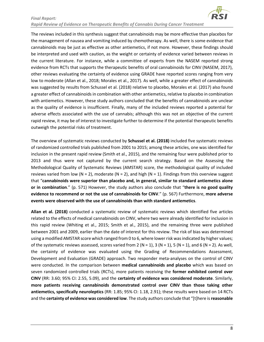

The reviews included in this synthesis suggest that cannabinoids may be more effective than placebos for the management of nausea and vomiting induced by chemotherapy. As well, there is some evidence that cannabinoids may be just as effective as other antiemetics, if not more. However, these findings should be interpreted and used with caution, as the weight or certainty of evidence varied between reviews in the current literature. For instance, while a committee of experts from the NASEM reported strong evidence from RCTs that supports the therapeutic benefits of oral cannabinoids for CINV (NASEM, 2017), other reviews evaluating the certainty of evidence using GRADE have reported scores ranging from very low to moderate (Allan et al., 2018; Morales et al., 2017). As well, while a greater effect of cannabinoids was suggested by results from Schussel et al. (2018) relative to placebo, Morales et al. (2017) also found a greater effect of cannabinoids in combination with other antiemetics, relative to placebo in combination with antiemetics. However, these study authors concluded that the benefits of cannabinoids are unclear as the quality of evidence is insufficient. Finally, many of the included reviews reported a potential for adverse effects associated with the use of cannabis; although this was not an objective of the current rapid review, it may be of interest to investigate further to determine if the potential therapeutic benefits outweigh the potential risks of treatment.

The overview of systematic reviews conducted by **Schussel et al. (2018)** included five systematic reviews of randomized controlled trials published from 2001 to 2015; among these articles, one was identified for inclusion in the present rapid review (Smith et al., 2015), and the remaining four were published prior to 2013 and thus were not captured by the current search strategy. Based on the Assessing the Methodological Quality of Systematic Reviews (AMSTAR) score, the methodological quality of included reviews varied from low (N = 2), moderate (N = 2), and high (N = 1). Findings from this overview suggest that "**cannabinoids were superior than placebo and, in general, similar to standard antiemetics alone or in combination**." (p. 571) However, the study authors also conclude that "**there is no good quality evidence to recommend or not the use of cannabinoids for CINV**." (p. 567) Furthermore, **more adverse events were observed with the use of cannabinoids than with standard antiemetics**.

**Allan et al. (2018)** conducted a systematic review of systematic reviews which identified five articles related to the effects of medical cannabinoids on CINV, where two were already identified for inclusion in this rapid review (Whiting et al., 2015; Smith et al., 2015), and the remaining three were published between 2001 and 2009, earlier than the date of interest for this review. The risk of bias was determined using a modified AMSTAR score which ranged from 0 to 6, where lower risk was indicated by higher values; of the systematic reviews assessed, scores varied from 2 (N = 1), 3 (N = 1), 5 (N = 1), and 6 (N = 2). As well, the certainty of evidence was evaluated using the Grading of Recommendations Assessment, Development and Evaluation (GRADE) approach. Two responder meta-analyses on the control of CINV were conducted. In the comparison between **medical cannabinoids and placebo** which was based on seven randomized controlled trials (RCTs), more patients receiving the **former exhibited control over CINV** (RR: 3.60; 95% CI: 2.55, 5.09), and the **certainty of evidence was considered moderate**. Similarly, **more patients receiving cannabinoids demonstrated control over CINV than those taking other antiemetics, specifically neuroleptics** (RR: 1.85; 95% CI: 1.18, 2.91); these results were based on 14 RCTs and the **certainty of evidence was considered low**. The study authors conclude that "[t]here is **reasonable**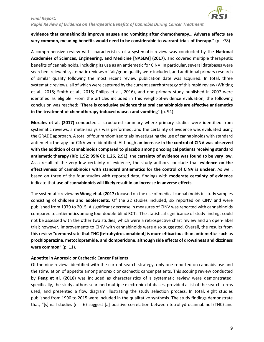

#### **evidence that cannabinoids improve nausea and vomiting after chemotherapy… Adverse effects are very common, meaning benefits would need to be considerable to warrant trials of therapy**." (p. e78)

A comprehensive review with characteristics of a systematic review was conducted by the **National Academies of Sciences, Engineering, and Medicine [NASEM] (2017)**, and covered multiple therapeutic benefits of cannabinoids, including its use as an antiemetic for CINV. In particular, several databases were searched, relevant systematic reviews of fair/good quality were included, and additional primary research of similar quality following the most recent review publication date was acquired. In total, three systematic reviews, all of which were captured by the current search strategy of this rapid review (Whiting et al., 2015; Smith et al., 2015; Philips et al., 2016), and one primary study published in 2007 were identified as eligible. From the articles included in this weight-of-evidence evaluation, the following conclusion was reached: "**There is conclusive evidence that oral cannabinoids are effective antiemetics in the treatment of chemotherapy-induced nausea and vomiting**" (p. 94).

**Morales et al. (2017)** conducted a structured summary where primary studies were identified from systematic reviews, a meta-analysis was performed, and the certainty of evidence was evaluated using the GRADE approach. A total of four randomized trials investigating the use of cannabinoids with standard antiemetic therapy for CINV were identified. Although **an increase in the control of CINV was observed with the addition of cannabinoids compared to placebo among oncological patients receiving standard antiemetic therapy (RR: 1.92; 95% CI: 1.26, 2.91),** the **certainty of evidence was found to be very low**. As a result of the very low certainty of evidence, the study authors conclude that **evidence on the effectiveness of cannabinoids with standard antiemetics for the control of CINV is unclear**. As well, based on three of the four studies with reported data, findings with **moderate certainty of evidence** indicate that **use of cannabinoids will likely result in an increase in adverse effects**.

The systematic review by **Wong et al. (2017)** focused on the use of medical cannabinoids in study samples consisting of **children and adolescents**. Of the 22 studies included, six reported on CINV and were published from 1979 to 2015. A significant decrease in measures of CINV was reported with cannabinoids compared to antiemetics among four double-blind RCTs. The statistical significance of study findings could not be assessed with the other two studies, which were a retrospective chart review and an open-label trial; however, improvements to CINV with cannabinoids were also suggested. Overall, the results from this review "**demonstrate that THC [tetrahydrocannabinol] is more efficacious than antiemetics such as prochloperazine, metoclopramide, and domperidone, although side effects of drowsiness and dizziness were common**" (p. 11).

#### **Appetite in Anorexic or Cachectic Cancer Patients**

Of the nine reviews identified with the current search strategy, only one reported on cannabis use and the stimulation of appetite among anorexic or cachectic cancer patients. This scoping review conducted by **Peng et al. (2016)** was included as characteristics of a systematic review were demonstrated: specifically, the study authors searched multiple electronic databases, provided a list of the search terms used, and presented a flow diagram illustrating the study selection process. In total, eight studies published from 1990 to 2015 were included in the qualitative synthesis. The study findings demonstrate that, "[s]mall studies (n = 6) suggest [a] positive correlation between tetrohydrocannabinol (THC) and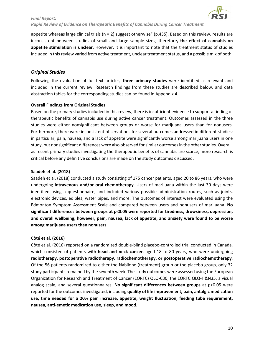

appetite whereas large clinical trials ( $n = 2$ ) suggest otherwise" (p.435). Based on this review, results are inconsistent between studies of small and large sample sizes; therefore**, the effect of cannabis on appetite stimulation is unclear**. However, it is important to note that the treatment status of studies included in this review varied from active treatment, unclear treatment status, and a possible mix of both.

#### <span id="page-9-0"></span>*Original Studies*

Following the evaluation of full-text articles, **three primary studies** were identified as relevant and included in the current review. Research findings from these studies are described below, and data abstraction tables for the corresponding studies can be found in Appendix 4.

#### **Overall Findings from Original Studies**

Based on the primary studies included in this review, there is insufficient evidence to support a finding of therapeutic benefits of cannabis use during active cancer treatment. Outcomes assessed in the three studies were either nonsignificant between groups or worse for marijuana users than for nonusers. Furthermore, there were inconsistent observations for several outcomes addressed in different studies; in particular, pain, nausea, and a lack of appetite were significantly worse among marijuana users in one study, but nonsignificant differences were also observed for similar outcomes in the other studies. Overall, as recent primary studies investigating the therapeutic benefits of cannabis are scarce, more research is critical before any definitive conclusions are made on the study outcomes discussed.

#### **Saadeh et al. (2018)**

Saadeh et al. (2018) conducted a study consisting of 175 cancer patients, aged 20 to 86 years, who were undergoing **intravenous and/or oral chemotherapy**. Users of marijuana within the last 30 days were identified using a questionnaire, and included various possible administration routes, such as joints, electronic devices, edibles, water pipes, and more. The outcomes of interest were evaluated using the Edmonton Symptom Assessment Scale and compared between users and nonusers of marijuana. **No significant differences between groups at p<0.05 were reported for tiredness, drowsiness, depression, and overall wellbeing**; **however, pain, nausea, lack of appetite, and anxiety were found to be worse among marijuana users than nonusers**.

#### **Côté et al. (2016)**

Côté et al. (2016) reported on a randomized double-blind placebo-controlled trial conducted in Canada, which consisted of patients with **head and neck cancer**, aged 18 to 80 years, who were undergoing **radiotherapy, postoperative radiotherapy, radiochemotherapy, or postoperative radiochemotherapy**. Of the 56 patients randomized to either the Nabilone (treatment) group or the placebo group, only 32 study participants remained by the seventh week. The study outcomes were assessed using the European Organization for Research and Treatment of Cancer (EORTC) QLQ-C30, the EORTC QLQ-H&N35, a visual analog scale, and several questionnaires. **No significant differences between groups** at p<0.05 were reported for the outcomes investigated, including **quality of life improvement, pain, antalgic medication use, time needed for a 20% pain increase, appetite, weight fluctuation, feeding tube requirement, nausea, anti-emetic medication use, sleep, and mood**.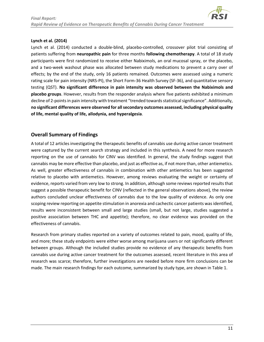

#### **Lynch et al. (2014)**

Lynch et al. (2014) conducted a double-blind, placebo-controlled, crossover pilot trial consisting of patients suffering from **neuropathic pain** for three months **following chemotherapy**. A total of 18 study participants were first randomized to receive either Nabiximols, an oral mucosal spray, or the placebo, and a two-week washout phase was allocated between study medications to prevent a carry over of effects; by the end of the study, only 16 patients remained. Outcomes were assessed using a numeric rating scale for pain intensity (NRS-PI), the Short Form-36 Health Survey (SF-36), and quantitative sensory testing (QST). **No significant difference in pain intensity was observed between the Nabiximols and placebo groups**. However, results from the responder analysis where five patients exhibited a minimum decline of 2-points in pain intensity with treatment "trended towards statistical significance". Additionally, **no significant differences were observed for all secondary outcomes assessed, including physical quality of life, mental quality of life, allodynia, and hyperalgesia**.

#### <span id="page-10-0"></span>**Overall Summary of Findings**

A total of 12 articles investigating the therapeutic benefits of cannabis use during active cancer treatment were captured by the current search strategy and included in this synthesis. A need for more research reporting on the use of cannabis for CINV was identified. In general, the study findings suggest that cannabis may be more effective than placebo, and just as effective as, if not more than, other antiemetics. As well, greater effectiveness of cannabis in combination with other antiemetics has been suggested relative to placebo with antiemetics. However, among reviews evaluating the weight or certainty of evidence, reports varied from very low to strong. In addition, although some reviews reported results that suggest a possible therapeutic benefit for CINV (reflected in the general observations above), the review authors concluded unclear effectiveness of cannabis due to the low quality of evidence. As only one scoping review reporting on appetite stimulation in anorexia and cachectic cancer patients was identified, results were inconsistent between small and large studies (small, but not large, studies suggested a positive association between THC and appetite); therefore, no clear evidence was provided on the effectiveness of cannabis.

Research from primary studies reported on a variety of outcomes related to pain, mood, quality of life, and more; these study endpoints were either worse among marijuana users or not significantly different between groups. Although the included studies provide no evidence of any therapeutic benefits from cannabis use during active cancer treatment for the outcomes assessed, recent literature in this area of research was scarce; therefore, further investigations are needed before more firm conclusions can be made. The main research findings for each outcome, summarized by study type, are shown in Table 1.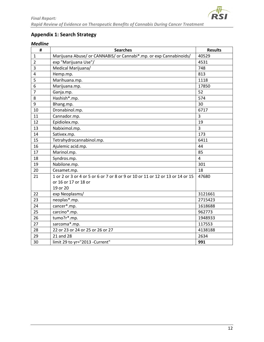

# <span id="page-11-0"></span>**Appendix 1: Search Strategy**

## <span id="page-11-1"></span>*Medline*

| #              | <b>Searches</b>                                                               | <b>Results</b> |
|----------------|-------------------------------------------------------------------------------|----------------|
| $\mathbf{1}$   | Marijuana Abuse/ or CANNABIS/ or Cannabi*.mp. or exp Cannabinoids/            | 40529          |
| $\overline{2}$ | exp "Marijuana Use"/                                                          | 4531           |
| 3              | Medical Marijuana/                                                            | 748            |
| 4              | Hemp.mp.                                                                      | 813            |
| 5              | Marihuana.mp.                                                                 | 1118           |
| 6              | Marijuana.mp.                                                                 | 17850          |
| $\overline{7}$ | Ganja.mp.                                                                     | 52             |
| 8              | Hashish*.mp.                                                                  | 574            |
| 9              | Bhang.mp.                                                                     | 30             |
| 10             | Dronabinol.mp.                                                                | 6717           |
| 11             | Cannador.mp.                                                                  | 3              |
| 12             | Epidiolex.mp.                                                                 | 19             |
| 13             | Nabiximol.mp.                                                                 | $\overline{3}$ |
| 14             | Sativex.mp.                                                                   | 173            |
| 15             | Tetrahydrocannabinol.mp.                                                      | 6411           |
| 16             | Ajulemic acid.mp.                                                             | 44             |
| 17             | Marinol.mp.                                                                   | 85             |
| 18             | Syndros.mp.<br>$\overline{4}$                                                 |                |
| 19             | Nabilone.mp.                                                                  | 301            |
| 20             | Cesamet.mp.                                                                   | 18             |
| 21             | 1 or 2 or 3 or 4 or 5 or 6 or 7 or 8 or 9 or 10 or 11 or 12 or 13 or 14 or 15 | 47680          |
|                | or 16 or 17 or 18 or                                                          |                |
|                | 19 or 20                                                                      |                |
| 22             | exp Neoplasms/                                                                | 3121661        |
| 23             | neoplas*.mp.                                                                  | 2715423        |
| 24             | cancer*.mp.                                                                   | 1618688        |
| 25             | carcino*.mp.                                                                  | 962773         |
| 26             | tumo?r*.mp.                                                                   | 1948933        |
| 27             | sarcoma*.mp.<br>117553                                                        |                |
| 28             | 22 or 23 or 24 or 25 or 26 or 27                                              | 4138188        |
| 29             | 21 and 28                                                                     | 2634           |
| 30             | limit 29 to yr="2013 -Current"                                                | 991            |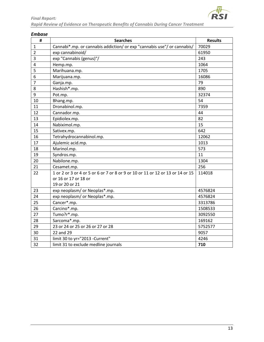

<span id="page-12-0"></span>

| #              | <b>Searches</b>                                                               | <b>Results</b> |
|----------------|-------------------------------------------------------------------------------|----------------|
| $\mathbf 1$    | Cannabi*.mp. or cannabis addiction/ or exp "cannabis use"/ or cannabis/       | 70029          |
| $\overline{2}$ | exp cannabinoid/                                                              | 61950          |
| 3              | exp "Cannabis (genus)"/                                                       | 243            |
| $\overline{4}$ | Hemp.mp.                                                                      | 1064           |
| 5              | Marihuana.mp.                                                                 | 1705           |
| 6              | Marijuana.mp.                                                                 | 16086          |
| $\overline{7}$ | Ganja.mp.                                                                     | 79             |
| 8              | Hashish*.mp.                                                                  | 890            |
| 9              | Pot.mp.                                                                       | 32374          |
| 10             | Bhang.mp.                                                                     | 54             |
| 11             | Dronabinol.mp.                                                                | 7359           |
| 12             | Cannador.mp.                                                                  | 44             |
| 13             | Epidiolex.mp.                                                                 | 82             |
| 14             | Nabiximol.mp.                                                                 | 15             |
| 15             | Sativex.mp.                                                                   | 642            |
| 16             | Tetrahydrocannabinol.mp.                                                      | 12062          |
| 17             | Ajulemic acid.mp.                                                             | 1013           |
| 18             | Marinol.mp.                                                                   | 573            |
| 19             | Syndros.mp.                                                                   | 11             |
| 20             | Nabilone.mp.                                                                  | 1304           |
| 21             | Cesamet.mp.                                                                   | 256            |
| 22             | 1 or 2 or 3 or 4 or 5 or 6 or 7 or 8 or 9 or 10 or 11 or 12 or 13 or 14 or 15 | 114018         |
|                | or 16 or 17 or 18 or                                                          |                |
|                | 19 or 20 or 21                                                                |                |
| 23             | exp neoplasm/ or Neoplas*.mp.                                                 | 4576824        |
| 24             | exp neoplasm/ or Neoplas*.mp.                                                 | 4576824        |
| 25             | Cancer*.mp.                                                                   | 3313786        |
| 26             | Carcino*.mp.                                                                  | 1508533        |
| 27             | Tumo?r*.mp.                                                                   | 3092550        |
| 28             | Sarcoma*.mp.                                                                  | 169162         |
| 29             | 23 or 24 or 25 or 26 or 27 or 28                                              | 5752577        |
| 30             | 22 and 29                                                                     | 9057           |
| 31             | limit 30 to yr="2013 -Current"                                                | 4246           |
| 32             | limit 31 to exclude medline journals                                          | 710            |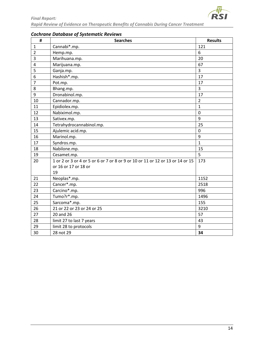

| #              | <b>Searches</b>                                                               | <b>Results</b> |
|----------------|-------------------------------------------------------------------------------|----------------|
| $\mathbf{1}$   | Cannabi*.mp.                                                                  | 121            |
| $\overline{2}$ | Hemp.mp.                                                                      | 6              |
| 3              | Marihuana.mp.                                                                 | 20             |
| $\overline{4}$ | Marijuana.mp.                                                                 | 67             |
| 5              | Ganja.mp.                                                                     | 3              |
| 6              | Hashish*.mp.                                                                  | 17             |
| $\overline{7}$ | Pot.mp.                                                                       | 17             |
| 8              | Bhang.mp.                                                                     | 3              |
| 9              | Dronabinol.mp.                                                                | 17             |
| 10             | Cannador.mp.                                                                  | $\overline{2}$ |
| 11             | Epidiolex.mp.                                                                 | $\mathbf{1}$   |
| 12             | Nabiximol.mp.                                                                 | $\mathbf 0$    |
| 13             | Sativex.mp.                                                                   | 9              |
| 14             | Tetrahydrocannabinol.mp.                                                      | 25             |
| 15             | Ajulemic acid.mp.                                                             | $\mathbf 0$    |
| 16             | Marinol.mp.                                                                   | 9              |
| 17             | Syndros.mp.                                                                   | $\mathbf{1}$   |
| 18             | Nabilone.mp.                                                                  | 15             |
| 19             | Cesamet.mp.                                                                   | 5              |
| 20             | 1 or 2 or 3 or 4 or 5 or 6 or 7 or 8 or 9 or 10 or 11 or 12 or 13 or 14 or 15 | 173            |
|                | or 16 or 17 or 18 or                                                          |                |
|                | 19                                                                            |                |
| 21             | Neoplas*.mp.                                                                  | 1152           |
| 22             | Cancer*.mp.                                                                   | 2518           |
| 23             | Carcino*.mp.                                                                  | 996            |
| 24             | Tumo?r*.mp.                                                                   | 1496           |
| 25             | Sarcoma*.mp.                                                                  | 155            |
| 26             | 21 or 22 or 23 or 24 or 25                                                    | 3210           |
| 27             | 20 and 26                                                                     | 57             |
| 28             | limit 27 to last 7 years                                                      | 43             |
| 29             | limit 28 to protocols                                                         | 9              |
| 30             | 28 not 29                                                                     | 34             |

# <span id="page-13-0"></span>*Cochrane Database of Systematic Reviews*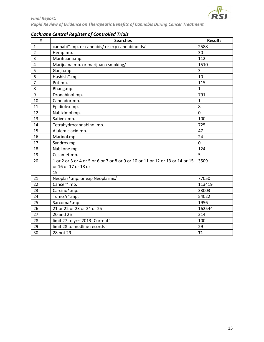

| #              | <b>Searches</b>                                                               | <b>Results</b> |
|----------------|-------------------------------------------------------------------------------|----------------|
| $\mathbf{1}$   | cannabi*.mp. or cannabis/ or exp cannabinoids/                                | 2588           |
| $\overline{2}$ | Hemp.mp.                                                                      | 30             |
| 3              | Marihuana.mp.                                                                 | 112            |
| 4              | Marijuana.mp. or marijuana smoking/                                           | 1510           |
| 5              | Ganja.mp.                                                                     | 3              |
| 6              | Hashish*.mp.                                                                  | 10             |
| $\overline{7}$ | Pot.mp.                                                                       | 115            |
| 8              | Bhang.mp.                                                                     | $\mathbf{1}$   |
| 9              | Dronabinol.mp.                                                                | 791            |
| 10             | Cannador.mp.                                                                  | $\mathbf{1}$   |
| 11             | Epidiolex.mp.                                                                 | 8              |
| 12             | Nabiximol.mp.                                                                 | $\mathbf 0$    |
| 13             | Sativex.mp.                                                                   | 100            |
| 14             | Tetrahydrocannabinol.mp.                                                      | 725            |
| 15             | Ajulemic acid.mp.                                                             | 47             |
| 16             | Marinol.mp.                                                                   | 24             |
| 17             | Syndros.mp.                                                                   | $\overline{0}$ |
| 18             | Nabilone.mp.                                                                  | 124            |
| 19             | Cesamet.mp.                                                                   | 5              |
| 20             | 1 or 2 or 3 or 4 or 5 or 6 or 7 or 8 or 9 or 10 or 11 or 12 or 13 or 14 or 15 | 3509           |
|                | or 16 or 17 or 18 or                                                          |                |
|                | 19                                                                            |                |
| 21             | Neoplas*.mp. or exp Neoplasms/                                                | 77050          |
| 22             | Cancer*.mp.                                                                   | 113419         |
| 23             | Carcino*.mp.                                                                  | 33003          |
| 24             | Tumo?r*.mp.                                                                   | 54022          |
| 25             | Sarcoma*.mp.                                                                  | 1956           |
| 26             | 21 or 22 or 23 or 24 or 25                                                    | 162544         |
| 27             | 20 and 26                                                                     | 214            |
| 28             | limit 27 to yr="2013 -Current"                                                | 100            |
| 29             | limit 28 to medline records                                                   | 29             |
| 30             | 28 not 29                                                                     | 71             |

# <span id="page-14-0"></span>*Cochrane Central Register of Controlled Trials*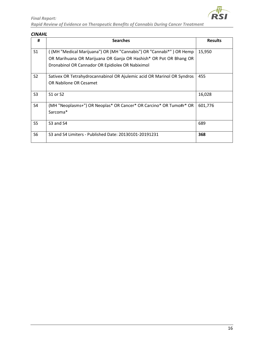

#### <span id="page-15-0"></span>*CINAHL*

| #              | <b>Searches</b>                                                        | <b>Results</b> |
|----------------|------------------------------------------------------------------------|----------------|
| S <sub>1</sub> | (MH "Medical Marijuana") OR (MH "Cannabis") OR "Cannabi*" ) OR Hemp    | 15,950         |
|                | OR Marihuana OR Marijuana OR Ganja OR Hashish* OR Pot OR Bhang OR      |                |
|                | Dronabinol OR Cannador OR Epidiolex OR Nabiximol                       |                |
| S <sub>2</sub> | Sativex OR Tetrahydrocannabinol OR Ajulemic acid OR Marinol OR Syndros | 455            |
|                | OR Nabilone OR Cesamet                                                 |                |
| S <sub>3</sub> | S1 or S2                                                               | 16,028         |
| S <sub>4</sub> | (MH "Neoplasms+") OR Neoplas* OR Cancer* OR Carcino* OR Tumo#r* OR     | 601,776        |
|                | Sarcoma*                                                               |                |
| S <sub>5</sub> | S3 and S4                                                              | 689            |
| S <sub>6</sub> | S3 and S4 Limiters - Published Date: 20130101-20191231                 | 368            |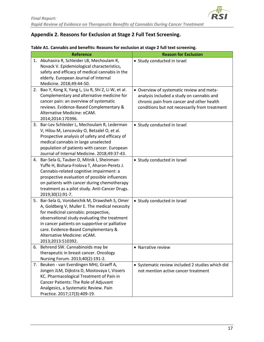# <span id="page-16-0"></span>**Appendix 2. Reasons for Exclusion at Stage 2 Full Text Screening.**

#### **Table A1. Cannabis and benefits: Reasons for exclusion at stage 2 full text screening.**

| <b>Reference</b>                                                                                                                                                                                                                                                                                                                       | <b>Reason for Exclusion</b>                                                                                                                                                          |
|----------------------------------------------------------------------------------------------------------------------------------------------------------------------------------------------------------------------------------------------------------------------------------------------------------------------------------------|--------------------------------------------------------------------------------------------------------------------------------------------------------------------------------------|
| 1. Abuhasira R, Schleider LB, Mechoulam R,<br>Novack V. Epidemiological characteristics,<br>safety and efficacy of medical cannabis in the<br>elderly. European Journal of Internal<br>Medicine. 2018;49:44-50.                                                                                                                        | • Study conducted in Israel                                                                                                                                                          |
| 2. Bao Y, Kong X, Yang L, Liu R, Shi Z, Li W, et al.<br>Complementary and alternative medicine for<br>cancer pain: an overview of systematic<br>reviews. Evidence-Based Complementary &<br>Alternative Medicine: eCAM.<br>2014;2014:170396.                                                                                            | • Overview of systematic review and meta-<br>analysis included a study on cannabis and<br>chronic pain from cancer and other health<br>conditions but not necessarily from treatment |
| 3. Bar-Lev Schleider L, Mechoulam R, Lederman<br>V, Hilou M, Lencovsky O, Betzalel O, et al.<br>Prospective analysis of safety and efficacy of<br>medical cannabis in large unselected<br>population of patients with cancer. European<br>Journal of Internal Medicine. 2018;49:37-43.                                                 | • Study conducted in Israel                                                                                                                                                          |
| 4. Bar-Sela G, Tauber D, Mitnik I, Sheinman-<br>Yuffe H, Bishara-Frolova T, Aharon-Peretz J.<br>Cannabis-related cognitive impairment: a<br>prospective evaluation of possible influences<br>on patients with cancer during chemotherapy<br>treatment as a pilot study. Anti-Cancer Drugs.<br>2019;30(1):91-7.                         | • Study conducted in Israel                                                                                                                                                          |
| 5. Bar-Sela G, Vorobeichik M, Drawsheh S, Omer<br>A, Goldberg V, Muller E. The medical necessity<br>for medicinal cannabis: prospective,<br>observational study evaluating the treatment<br>in cancer patients on supportive or palliative<br>care. Evidence-Based Complementary &<br>Alternative Medicine: eCAM.<br>2013;2013:510392. | • Study conducted in Israel                                                                                                                                                          |
| 6. Behrend SW. Cannabinoids may be<br>therapeutic in breast cancer. Oncology<br>Nursing Forum. 2013;40(2):191-2.                                                                                                                                                                                                                       | • Narrative review                                                                                                                                                                   |
| 7. Beuken - van Everdingen MHJ, Graeff A,<br>Jongen JLM, Dijkstra D, Mostovaya I, Vissers<br>KC. Pharmacological Treatment of Pain in<br>Cancer Patients: The Role of Adjuvant<br>Analgesics, a Systematic Review. Pain<br>Practice. 2017;17(3):409-19.                                                                                | • Systematic review included 2 studies which did<br>not mention active cancer treatment                                                                                              |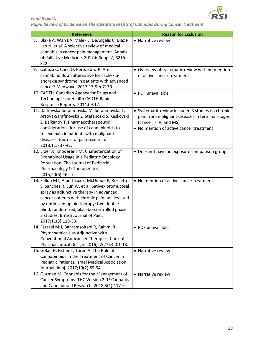

| <b>Reference</b>                                                                     | <b>Reason for Exclusion</b>                                                   |
|--------------------------------------------------------------------------------------|-------------------------------------------------------------------------------|
| 8. Blake A, Wan BA, Malek L, DeAngelis C, Diaz P,                                    | • Narrative review                                                            |
| Lao N, et al. A selective review of medical                                          |                                                                               |
| cannabis in cancer pain management. Annals                                           |                                                                               |
| of Palliative Medicine. 2017;6(Suppl 2):S215-                                        |                                                                               |
| S <sub>22</sub> .                                                                    |                                                                               |
| 9. Cabeza C, Corsi O, Perez-Cruz P. Are<br>cannabinoids an alternative for cachexia- | • Overview of systematic review with no mention<br>of active cancer treatment |
| anorexia syndrome in patients with advanced                                          |                                                                               |
| cancer? Medwave. 2017;17(9):e7130.                                                   |                                                                               |
| 10. CADTH. Canadian Agency for Drugs and                                             | • PDF unavailable                                                             |
| Technologies in Health CADTH Rapid                                                   |                                                                               |
| Response Reports. 2014;09:12.                                                        |                                                                               |
| 11. Darkovska-Serafimovska M, Serafimovska T,                                        | • Systematic review included 3 studies on chronic                             |
| Arsova-Sarafinovska Z, Stefanoski S, Keskovski                                       | pain from malignant diseases in terminal stages                               |
| Z, Balkanov T. Pharmacotherapeutic                                                   | (cancer, HIV, and MS)                                                         |
| considerations for use of cannabinoids to                                            | • No mention of active cancer treatment                                       |
| relieve pain in patients with malignant                                              |                                                                               |
| diseases. Journal of pain research.                                                  |                                                                               |
| 2018;11:837-42.                                                                      |                                                                               |
| 12. Elder JJ, Knoderer HM. Characterization of                                       | • Does not have an exposure comparison group                                  |
| Dronabinol Usage in a Pediatric Oncology                                             |                                                                               |
| Population. The Journal of Pediatric                                                 |                                                                               |
| Pharmacology & Therapeutics.                                                         |                                                                               |
| 2015;20(6):462-7.                                                                    |                                                                               |
| 13. Fallon MT, Albert Lux E, McQuade R, Rossetti                                     | • No mention of active cancer treatment                                       |
| S, Sanchez R, Sun W, et al. Sativex oromucosal                                       |                                                                               |
| spray as adjunctive therapy in advanced                                              |                                                                               |
| cancer patients with chronic pain unalleviated                                       |                                                                               |
| by optimized opioid therapy: two double-                                             |                                                                               |
| blind, randomized, placebo-controlled phase                                          |                                                                               |
| 3 studies. British Journal of Pain.                                                  |                                                                               |
| 2017;11(3):119-33.<br>14. Farzaei MH, Bahramsoltani R, Rahimi R.                     |                                                                               |
| Phytochemicals as Adjunctive with                                                    | • PDF unavailable                                                             |
| Conventional Anticancer Therapies. Current                                           |                                                                               |
| Pharmaceutical Design. 2016;22(27):4201-18.                                          |                                                                               |
| 15. Golan H, Fisher T, Toren A. The Role of                                          | • Narrative review                                                            |
| Cannabinoids in the Treatment of Cancer in                                           |                                                                               |
| <b>Pediatric Patients. Israel Medical Association</b>                                |                                                                               |
| Journal: Imaj. 2017;19(2):89-94.                                                     |                                                                               |
| 16. Guzman M. Cannabis for the Management of                                         | • Narrative review                                                            |
| Cancer Symptoms: THC Version 2.0? Cannabis                                           |                                                                               |
| and Cannabinoid Research. 2018;3(1):117-9.                                           |                                                                               |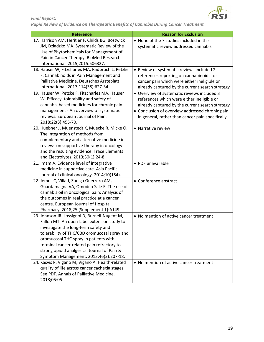

| <b>Reference</b>                                                                              | <b>Reason for Exclusion</b>                                                                        |
|-----------------------------------------------------------------------------------------------|----------------------------------------------------------------------------------------------------|
| 17. Harrison AM, Heritier F, Childs BG, Bostwick<br>JM, Dziadzko MA. Systematic Review of the | • None of the 7 studies included in this<br>systematic review addressed cannabis                   |
| Use of Phytochemicals for Management of                                                       |                                                                                                    |
| Pain in Cancer Therapy. BioMed Research                                                       |                                                                                                    |
| International. 2015;2015:506327.                                                              |                                                                                                    |
| 18. Hauser W, Fitzcharles MA, Radbruch L, Petzke                                              | • Review of systematic reviews included 2                                                          |
| F. Cannabinoids in Pain Management and                                                        | references reporting on cannabinoids for                                                           |
| Palliative Medicine. Deutsches Arzteblatt                                                     | cancer pain which were either ineligible or                                                        |
| International. 2017;114(38):627-34.                                                           | already captured by the current search strategy                                                    |
| 19. Häuser W, Petzke F, Fitzcharles MA, Häuser                                                | • Overview of systematic reviews included 3                                                        |
| W. Efficacy, tolerability and safety of<br>cannabis-based medicines for chronic pain          | references which were either ineligible or                                                         |
| management - An overview of systematic                                                        | already captured by the current search strategy<br>• Conclusion of overview addressed chronic pain |
| reviews. European Journal of Pain.                                                            | in general, rather than cancer pain specifically                                                   |
| 2018;22(3):455-70.                                                                            |                                                                                                    |
| 20. Huebner J, Muenstedt K, Muecke R, Micke O.                                                | • Narrative review                                                                                 |
| The integration of methods from                                                               |                                                                                                    |
| complementary and alternative medicine in                                                     |                                                                                                    |
| reviews on supportive therapy in oncology                                                     |                                                                                                    |
| and the resulting evidence. Trace Elements                                                    |                                                                                                    |
| and Electrolytes. 2013;30(1):24-8.                                                            |                                                                                                    |
| 21. Imam A. Evidence level of integrative                                                     | • PDF unavailable                                                                                  |
| medicine in supportive care. Asia Pacific                                                     |                                                                                                    |
| journal of clinical oncology. 2014;10(154).                                                   |                                                                                                    |
| 22. Jemos C, Villa J, Zuniga Guerrero AM,<br>Guardamagna VA, Omodeo Sale E. The use of        | • Conference abstract                                                                              |
| cannabis oil in oncological pain: Analysis of                                                 |                                                                                                    |
| the outcomes in real practice at a cancer                                                     |                                                                                                    |
| centre. European Journal of Hospital                                                          |                                                                                                    |
| Pharmacy. 2018;25 (Supplement 1):A149.                                                        |                                                                                                    |
| 23. Johnson JR, Lossignol D, Burnell-Nugent M,                                                | • No mention of active cancer treatment                                                            |
| Fallon MT. An open-label extension study to                                                   |                                                                                                    |
| investigate the long-term safety and                                                          |                                                                                                    |
| tolerability of THC/CBD oromucosal spray and                                                  |                                                                                                    |
| oromucosal THC spray in patients with                                                         |                                                                                                    |
| terminal cancer-related pain refractory to                                                    |                                                                                                    |
| strong opioid analgesics. Journal of Pain &                                                   |                                                                                                    |
| Symptom Management. 2013;46(2):207-18.                                                        |                                                                                                    |
| 24. Kasvis P, Vigano M, Vigano A. Health-related                                              | • No mention of active cancer treatment                                                            |
| quality of life across cancer cachexia stages.                                                |                                                                                                    |
| See PDF. Annals of Palliative Medicine.                                                       |                                                                                                    |
| 2018;05:05.                                                                                   |                                                                                                    |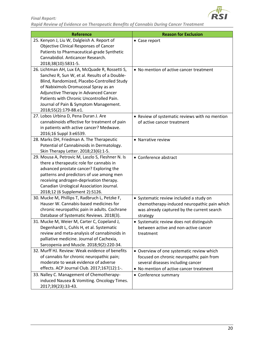

| <b>Reference</b>                                  | <b>Reason for Exclusion</b>                    |
|---------------------------------------------------|------------------------------------------------|
| 25. Kenyon J, Liu W, Dalgleish A. Report of       | • Case report                                  |
| Objective Clinical Responses of Cancer            |                                                |
| Patients to Pharmaceutical-grade Synthetic        |                                                |
| Cannabidiol. Anticancer Research.                 |                                                |
| 2018;38(10):5831-5.                               |                                                |
| 26. Lichtman AH, Lux EA, McQuade R, Rossetti S,   | • No mention of active cancer treatment        |
| Sanchez R, Sun W, et al. Results of a Double-     |                                                |
| Blind, Randomized, Placebo-Controlled Study       |                                                |
| of Nabiximols Oromucosal Spray as an              |                                                |
| Adjunctive Therapy in Advanced Cancer             |                                                |
| Patients with Chronic Uncontrolled Pain.          |                                                |
| Journal of Pain & Symptom Management.             |                                                |
| 2018;55(2):179-88.e1.                             |                                                |
| 27. Lobos Urbina D, Pena Duran J. Are             | • Review of systematic reviews with no mention |
| cannabinoids effective for treatment of pain      | of active cancer treatment                     |
| in patients with active cancer? Medwave.          |                                                |
| 2016;16 Suppl 3:e6539.                            |                                                |
| 28. Marks DH, Friedman A. The Therapeutic         | • Narrative review                             |
| Potential of Cannabinoids in Dermatology.         |                                                |
| Skin Therapy Letter. 2018;23(6):1-5.              |                                                |
| 29. Mousa A, Petrovic M, Laszlo S, Fleshner N. Is | • Conference abstract                          |
| there a therapeutic role for cannabis in          |                                                |
| advanced prostate cancer? Exploring the           |                                                |
| patterns and predictors of use among men          |                                                |
| receiving androgen-deprivation therapy.           |                                                |
| Canadian Urological Association Journal.          |                                                |
| 2018;12 (6 Supplement 2):S126.                    |                                                |
| 30. Mucke M, Phillips T, Radbruch L, Petzke F,    | • Systematic review included a study on        |
| Hauser W. Cannabis-based medicines for            | chemotherapy-induced neuropathic pain which    |
| chronic neuropathic pain in adults. Cochrane      | was already captured by the current search     |
| Database of Systematic Reviews. 2018(3).          | strategy                                       |
| 31. Mucke M, Weier M, Carter C, Copeland J,       | • Systematic review does not distinguish       |
| Degenhardt L, Cuhls H, et al. Systematic          | between active and non-active cancer           |
| review and meta-analysis of cannabinoids in       | treatment                                      |
| palliative medicine. Journal of Cachexia,         |                                                |
| Sarcopenia and Muscle. 2018;9(2):220-34.          |                                                |
| 32. Murff HJ. Review: Weak evidence of benefits   | • Overview of one systematic review which      |
| of cannabis for chronic neuropathic pain;         | focused on chronic neuropathic pain from       |
| moderate to weak evidence of adverse              | several diseases including cancer              |
| effects. ACP Journal Club. 2017;167(12):1-.       | • No mention of active cancer treatment        |
| 33. Nalley C. Management of Chemotherapy-         | • Conference summary                           |
| induced Nausea & Vomiting. Oncology Times.        |                                                |
| 2017;39(23):33-43.                                |                                                |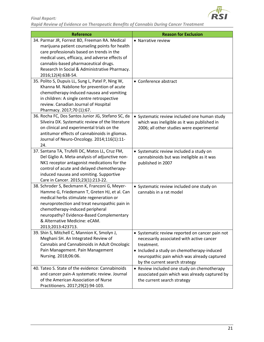

| <b>Reference</b>                                                                                                                                                                                                                                                                                                                | <b>Reason for Exclusion</b>                                                                                                                                                                                                               |  |  |  |
|---------------------------------------------------------------------------------------------------------------------------------------------------------------------------------------------------------------------------------------------------------------------------------------------------------------------------------|-------------------------------------------------------------------------------------------------------------------------------------------------------------------------------------------------------------------------------------------|--|--|--|
| 34. Parmar JR, Forrest BD, Freeman RA. Medical<br>marijuana patient counseling points for health<br>care professionals based on trends in the<br>medical uses, efficacy, and adverse effects of<br>cannabis-based pharmaceutical drugs.<br>Research In Social & Administrative Pharmacy.                                        | • Narrative review                                                                                                                                                                                                                        |  |  |  |
| 2016;12(4):638-54.<br>35. Polito S, Dupuis LL, Sung L, Patel P, Ning W,<br>Khanna M. Nabilone for prevention of acute<br>chemotherapy-induced nausea and vomiting<br>in children: A single centre retrospective<br>review. Canadian Journal of Hospital<br>Pharmacy. 2017;70 (1):67.                                            | • Conference abstract                                                                                                                                                                                                                     |  |  |  |
| 36. Rocha FC, Dos Santos Junior JG, Stefano SC, da<br>Silveira DX. Systematic review of the literature<br>on clinical and experimental trials on the<br>antitumor effects of cannabinoids in gliomas.<br>Journal of Neuro-Oncology. 2014;116(1):11-<br>24.                                                                      | • Systematic review included one human study<br>which was ineligible as it was published in<br>2006; all other studies were experimental                                                                                                  |  |  |  |
| 37. Santana TA, Trufelli DC, Matos LL, Cruz FM,<br>Del Giglio A. Meta-analysis of adjunctive non-<br>NK1 receptor antagonist medications for the<br>control of acute and delayed chemotherapy-<br>induced nausea and vomiting. Supportive<br>Care in Cancer. 2015;23(1):213-22.                                                 | • Systematic review included a study on<br>cannabinoids but was ineligible as it was<br>published in 2007                                                                                                                                 |  |  |  |
| 38. Schroder S, Beckmann K, Franconi G, Meyer-<br>Hamme G, Friedemann T, Greten HJ, et al. Can<br>medical herbs stimulate regeneration or<br>neuroprotection and treat neuropathic pain in<br>chemotherapy-induced peripheral<br>neuropathy? Evidence-Based Complementary<br>& Alternative Medicine: eCAM.<br>2013;2013:423713. | • Systematic review included one study on<br>cannabis in a rat model                                                                                                                                                                      |  |  |  |
| 39. Shin S, Mitchell C, Mannion K, Smolyn J,<br>Meghani SH. An Integrated Review of<br>Cannabis and Cannabinoids in Adult Oncologic<br>Pain Management. Pain Management<br>Nursing. 2018;06:06.                                                                                                                                 | • Systematic review reported on cancer pain not<br>necessarily associated with active cancer<br>treatment.<br>• Included a study on chemotherapy-induced<br>neuropathic pain which was already captured<br>by the current search strategy |  |  |  |
| 40. Tateo S. State of the evidence: Cannabinoids<br>and cancer pain-A systematic review. Journal<br>of the American Association of Nurse<br>Practitioners. 2017;29(2):94-103.                                                                                                                                                   | • Review included one study on chemotherapy<br>associated pain which was already captured by<br>the current search strategy                                                                                                               |  |  |  |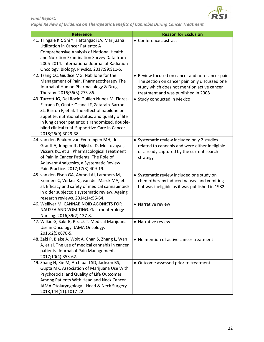

| <b>Reference</b>                                                                         | <b>Reason for Exclusion</b>                                                                   |
|------------------------------------------------------------------------------------------|-----------------------------------------------------------------------------------------------|
| 41. Tringale KR, Shi Y, Hattangadi JA. Marijuana                                         | • Conference abstract                                                                         |
| Utilization in Cancer Patients: A                                                        |                                                                                               |
| Comprehensive Analysis of National Health                                                |                                                                                               |
| and Nutrition Examination Survey Data from                                               |                                                                                               |
| 2005-2014. International Journal of Radiation                                            |                                                                                               |
| Oncology, Biology, Physics. 2017;99:S11-S.                                               |                                                                                               |
| 42. Tsang CC, Giudice MG. Nabilone for the                                               | • Review focused on cancer and non-cancer pain.                                               |
| Management of Pain. Pharmacotherapy: The                                                 | The section on cancer pain only discussed one                                                 |
| Journal of Human Pharmacology & Drug                                                     | study which does not mention active cancer                                                    |
| Therapy. 2016;36(3):273-86.                                                              | treatment and was published in 2008                                                           |
| 43. Turcott JG, Del Rocio Guillen Nunez M, Flores-                                       | • Study conducted in Mexico                                                                   |
| Estrada D, Onate-Ocana LF, Zatarain-Barron                                               |                                                                                               |
| ZL, Barron F, et al. The effect of nabilone on                                           |                                                                                               |
| appetite, nutritional status, and quality of life                                        |                                                                                               |
| in lung cancer patients: a randomized, double-                                           |                                                                                               |
| blind clinical trial. Supportive Care in Cancer.<br>2018;26(9):3029-38.                  |                                                                                               |
| 44. van den Beuken-van Everdingen MH, de                                                 |                                                                                               |
| Graeff A, Jongen JL, Dijkstra D, Mostovaya I,                                            | • Systematic review included only 2 studies<br>related to cannabis and were either ineligible |
| Vissers KC, et al. Pharmacological Treatment                                             | or already captured by the current search                                                     |
| of Pain in Cancer Patients: The Role of                                                  | strategy                                                                                      |
| Adjuvant Analgesics, a Systematic Review.                                                |                                                                                               |
| Pain Practice. 2017;17(3):409-19.                                                        |                                                                                               |
| 45. van den Elsen GA, Ahmed AI, Lammers M,                                               | • Systematic review included one study on                                                     |
| Kramers C, Verkes RJ, van der Marck MA, et                                               | chemotherapy induced nausea and vomiting                                                      |
| al. Efficacy and safety of medical cannabinoids                                          | but was ineligible as it was published in 1982                                                |
| in older subjects: a systematic review. Ageing                                           |                                                                                               |
| research reviews. 2014;14:56-64.                                                         |                                                                                               |
| 46. Welliver M. CANNABINOID AGONISTS FOR                                                 | • Narrative review                                                                            |
| NAUSEA AND VOMITING. Gastroenterology                                                    |                                                                                               |
| Nursing. 2016;39(2):137-8.                                                               |                                                                                               |
| 47. Wilkie G, Sakr B, Rizack T. Medical Marijuana                                        | • Narrative review                                                                            |
| Use in Oncology. JAMA Oncology.                                                          |                                                                                               |
| 2016;2(5):670-5.                                                                         |                                                                                               |
| 48. Zaki P, Blake A, Wolt A, Chan S, Zhang L, Wan                                        | • No mention of active cancer treatment                                                       |
| A, et al. The use of medical cannabis in cancer                                          |                                                                                               |
| patients. Journal of Pain Management.                                                    |                                                                                               |
| 2017;10(4):353-62.<br>49. Zhang H, Xie M, Archibald SD, Jackson BS,                      |                                                                                               |
|                                                                                          | • Outcome assessed prior to treatment                                                         |
| Gupta MK. Association of Marijuana Use With<br>Psychosocial and Quality of Life Outcomes |                                                                                               |
| Among Patients With Head and Neck Cancer.                                                |                                                                                               |
| JAMA Otolaryngology-- Head & Neck Surgery.                                               |                                                                                               |
| 2018;144(11):1017-22.                                                                    |                                                                                               |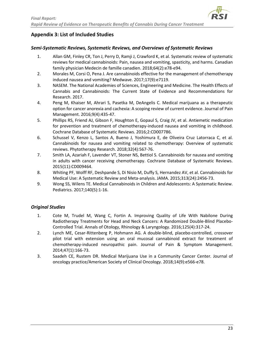

### <span id="page-22-0"></span>**Appendix 3: List of Included Studies**

#### <span id="page-22-1"></span>*Semi-Systematic Reviews, Systematic Reviews, and Overviews of Systematic Reviews*

- 1. Allan GM, Finley CR, Ton J, Perry D, Ramji J, Crawford K, et al. Systematic review of systematic reviews for medical cannabinoids: Pain, nausea and vomiting, spasticity, and harms. Canadian family physician Medecin de famille canadien. 2018;64(2):e78-e94.
- 2. Morales M, Corsi O, Pena J. Are cannabinoids effective for the management of chemotherapy induced nausea and vomiting? Medwave. 2017;17(9):e7119.
- 3. NASEM. The National Academies of Sciences, Engineering and Medicine. The Health Effects of Cannabis and Cannabinoids: The Current State of Evidence and Recommendations for Research. 2017.
- 4. Peng M, Khaiser M, Ahrari S, Pasetka M, DeAngelis C. Medical marijuana as a therapeutic option for cancer anorexia and cachexia: A scoping review of current evidence. Journal of Pain Management. 2016;9(4):435-47.
- 5. Phillips RS, Friend AJ, Gibson F, Houghton E, Gopaul S, Craig JV, et al. Antiemetic medication for prevention and treatment of chemotherapy-induced nausea and vomiting in childhood. Cochrane Database of Systematic Reviews. 2016;2:CD007786.
- 6. Schussel V, Kenzo L, Santos A, Bueno J, Yoshimura E, de Oliveira Cruz Latorraca C, et al. Cannabinoids for nausea and vomiting related to chemotherapy: Overview of systematic reviews. Phytotherapy Research. 2018;32(4):567-76.
- 7. Smith LA, Azariah F, Lavender VT, Stoner NS, Bettiol S. Cannabinoids for nausea and vomiting in adults with cancer receiving chemotherapy. Cochrane Database of Systematic Reviews. 2015(11):CD009464.
- 8. Whiting PF, Wolff RF, Deshpande S, Di Nisio M, Duffy S, Hernandez AV, et al. Cannabinoids for Medical Use: A Systematic Review and Meta-analysis. JAMA. 2015;313(24):2456-73.
- 9. Wong SS, Wilens TE. Medical Cannabinoids in Children and Adolescents: A Systematic Review. Pediatrics. 2017;140(5):1-16.

#### <span id="page-22-2"></span>*Original Studies*

- 1. Cote M, Trudel M, Wang C, Fortin A. Improving Quality of Life With Nabilone During Radiotherapy Treatments for Head and Neck Cancers: A Randomized Double-Blind Placebo-Controlled Trial. Annals of Otology, Rhinology & Laryngology. 2016;125(4):317-24.
- 2. Lynch ME, Cesar-Rittenberg P, Hohmann AG. A double-blind, placebo-controlled, crossover pilot trial with extension using an oral mucosal cannabinoid extract for treatment of chemotherapy-induced neuropathic pain. Journal of Pain & Symptom Management. 2014;47(1):166-73.
- 3. Saadeh CE, Rustem DR. Medical Marijuana Use in a Community Cancer Center. Journal of oncology practice/American Society of Clinical Oncology. 2018;14(9):e566-e78.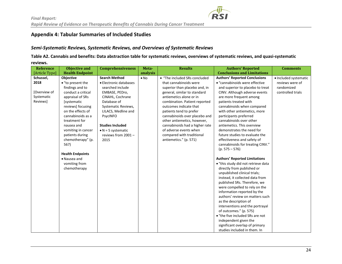## **Appendix 4: Tabular Summaries of Included Studies**

#### *Semi-Systematic Reviews, Systematic Reviews, and Overviews of Systematic Reviews*

**Table A2. Cannabis and benefits: Data abstraction table for systematic reviews, overviews of systematic reviews, and quasi-systematic reviews.**

<span id="page-23-1"></span><span id="page-23-0"></span>

| <b>Reference</b> | <b>Objective and</b>    | <b>Comprehensiveness</b>   | Meta-        | <b>Results</b>                 | <b>Authors' Reported</b>             | <b>Comments</b>       |
|------------------|-------------------------|----------------------------|--------------|--------------------------------|--------------------------------------|-----------------------|
| [Article Type]   | <b>Health Endpoint</b>  |                            | analysis     |                                | <b>Conclusions and Limitations</b>   |                       |
| Schussel,        | Objective               | <b>Search Method</b>       | $\bullet$ No | • "The included SRs concluded  | <b>Authors' Reported Conclusions</b> | • Included systematic |
| 2018             | • "to present the       | • Electronic databases     |              | that cannabinoids were         | • "cannabinoids were effective       | reviews were of       |
|                  | findings and to         | searched include           |              | superior than placebo and, in  | and superior to placebo to treat     | randomized            |
| [Overview of     | conduct a critical      | EMBASE, PEDro,             |              | general, similar to standard   | CINV. Although adverse events        | controlled trials     |
| Systematic       | appraisal of SRs        | CINAHL, Cochrane           |              | antiemetics alone or in        | are more frequent among              |                       |
| Reviews]         | [systematic             | Database of                |              | combination. Patient reported  | patients treated with                |                       |
|                  | reviews] focusing       | Systematic Reviews,        |              | outcomes indicate that         | cannabinoids when compared           |                       |
|                  | on the effects of       | LILACS, Medline and        |              | patients tend to prefer        | with other antiemetics, more         |                       |
|                  | cannabinoids as a       | PsycINFO                   |              | cannabinoids over placebo and  | participants preferred               |                       |
|                  | treatment for           |                            |              | other antiemetics, however,    | cannabinoids over other              |                       |
|                  | nausea and              | <b>Studies Included</b>    |              | cannabinoids had a higher rate | antiemetics. This overview           |                       |
|                  | vomiting in cancer      | $\bullet$ N = 5 systematic |              | of adverse events when         | demonstrates the need for            |                       |
|                  | patients during         | reviews from 2001-         |              | compared with traditional      | future studies to evaluate the       |                       |
|                  | chemotherapy" (p.       | 2015                       |              | antiemetics." (p. 571)         | effectiveness and safety of          |                       |
|                  | 567)                    |                            |              |                                | cannabinoids for treating CINV."     |                       |
|                  |                         |                            |              |                                | $(p. 575 - 576)$                     |                       |
|                  | <b>Health Endpoints</b> |                            |              |                                |                                      |                       |
|                  | • Nausea and            |                            |              |                                | <b>Authors' Reported Limitations</b> |                       |
|                  | vomiting from           |                            |              |                                | • "this study did not retrieve data  |                       |
|                  | chemotherapy            |                            |              |                                | directly from published or           |                       |
|                  |                         |                            |              |                                | unpublished clinical trials;         |                       |
|                  |                         |                            |              |                                | instead, it collected data from      |                       |
|                  |                         |                            |              |                                | published SRs. Therefore, we         |                       |
|                  |                         |                            |              |                                | were compelled to rely on the        |                       |
|                  |                         |                            |              |                                | information reported by the          |                       |
|                  |                         |                            |              |                                | authors' review on matters such      |                       |
|                  |                         |                            |              |                                | as the description of                |                       |
|                  |                         |                            |              |                                | interventions and the portrayal      |                       |
|                  |                         |                            |              |                                | of outcomes." (p. 575)               |                       |
|                  |                         |                            |              |                                | • "the five included SRs are not     |                       |
|                  |                         |                            |              |                                | independent given the                |                       |
|                  |                         |                            |              |                                | significant overlap of primary       |                       |
|                  |                         |                            |              |                                | studies included in them. In         |                       |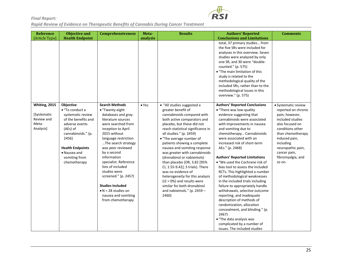

| <b>Reference</b>                                                 | <b>Objective and</b>                                                                                                                                                                                                     | <b>Comprehensiveness</b>                                                                                                                                                                                                                                                                                                                                                                                                                       | Meta-         | <b>Results</b>                                                                                                                                                                                                                                                                                                                                                                                                                                                                                                                                                                                            | <b>Authors' Reported</b>                                                                                                                                                                                                                                                                                                                                                                                                                                                                                                                                                                                                                                                                                                                                                                                              | <b>Comments</b>                                                                                                                                                                                                                                |
|------------------------------------------------------------------|--------------------------------------------------------------------------------------------------------------------------------------------------------------------------------------------------------------------------|------------------------------------------------------------------------------------------------------------------------------------------------------------------------------------------------------------------------------------------------------------------------------------------------------------------------------------------------------------------------------------------------------------------------------------------------|---------------|-----------------------------------------------------------------------------------------------------------------------------------------------------------------------------------------------------------------------------------------------------------------------------------------------------------------------------------------------------------------------------------------------------------------------------------------------------------------------------------------------------------------------------------------------------------------------------------------------------------|-----------------------------------------------------------------------------------------------------------------------------------------------------------------------------------------------------------------------------------------------------------------------------------------------------------------------------------------------------------------------------------------------------------------------------------------------------------------------------------------------------------------------------------------------------------------------------------------------------------------------------------------------------------------------------------------------------------------------------------------------------------------------------------------------------------------------|------------------------------------------------------------------------------------------------------------------------------------------------------------------------------------------------------------------------------------------------|
| [Article Type]                                                   | <b>Health Endpoint</b>                                                                                                                                                                                                   |                                                                                                                                                                                                                                                                                                                                                                                                                                                | analysis      |                                                                                                                                                                                                                                                                                                                                                                                                                                                                                                                                                                                                           | <b>Conclusions and Limitations</b>                                                                                                                                                                                                                                                                                                                                                                                                                                                                                                                                                                                                                                                                                                                                                                                    |                                                                                                                                                                                                                                                |
|                                                                  |                                                                                                                                                                                                                          |                                                                                                                                                                                                                                                                                                                                                                                                                                                |               |                                                                                                                                                                                                                                                                                                                                                                                                                                                                                                                                                                                                           | total, 37 primary studies from<br>the five SRs were included for<br>analyses in this overview. Seven<br>studies were analyzed by only<br>one SR, and 30 were "double-<br>counted." (p. 575)<br>• "The main limitation of this<br>study is related to the<br>methodological quality of the<br>included SRs, rather than to the<br>methodological issues in this<br>overview." (p. 575)                                                                                                                                                                                                                                                                                                                                                                                                                                 |                                                                                                                                                                                                                                                |
| Whiting, 2015<br>[Systematic<br>Review and<br>Meta-<br>Analysis] | <b>Objective</b><br>• "To conduct a<br>systematic review<br>of the benefits and<br>adverse events<br>(AEs) of<br>cannabinoids." (p.<br>2456)<br><b>Health Endpoints</b><br>• Nausea and<br>vomiting from<br>chemotherapy | <b>Search Methods</b><br>• "Twenty-eight<br>databases and gray<br>literature sources<br>were searched from<br>inception to April<br>2015 without<br>language restriction<br>The search strategy<br>was peer reviewed<br>by a second<br>information<br>specialist. Reference<br>lists of included<br>studies were<br>screened." (p. 2457)<br><b>Studies Included</b><br>$\bullet$ N = 28 studies on<br>nausea and vomiting<br>from chemotherapy | $\bullet$ Yes | · "All studies suggested a<br>greater benefit of<br>cannabinoids compared with<br>both active comparators and<br>placebo, but these did not<br>reach statistical significance in<br>all studies." (p. 2459)<br>• "The average number of<br>patients showing a complete<br>nausea and vomiting response<br>was greater with cannabinoids<br>(dronabinol or nabiximols)<br>than placebo (OR, 3.82 [95%<br>CI, 1.55-9.42]; 3 trials). There<br>was no evidence of<br>heterogeneity for this analysis<br>$(12 = 0\%)$ and results were<br>similar for both dronabinol<br>and nabiximols." (p. 2459 -<br>2460) | <b>Authors' Reported Conclusions</b><br>• "There was low-quality<br>evidence suggesting that<br>cannabinoids were associated<br>with improvements in nausea<br>and vomiting due to<br>chemotherapy Cannabinoids<br>were associated with an<br>increased risk of short-term<br>AEs." (p. 2468)<br><b>Authors' Reported Limitations</b><br>. "We used the Cochrane risk of<br>bias tool to assess the included<br>RCTs. This highlighted a number<br>of methodological weaknesses<br>in the included trials including<br>failure to appropriately handle<br>withdrawals, selective outcome<br>reporting, and inadequate<br>description of methods of<br>randomization, allocation<br>concealment, and blinding." (p.<br>2467)<br>• "The data analysis was<br>complicated by a number of<br>issues. The included studies | · Systematic review<br>reported on chronic<br>pain; however,<br>included studies<br>also focused on<br>conditions other<br>than chemotherapy<br>induced pain,<br>including<br>neuropathic pain,<br>cancer pain,<br>fibromyalgia, and<br>so on. |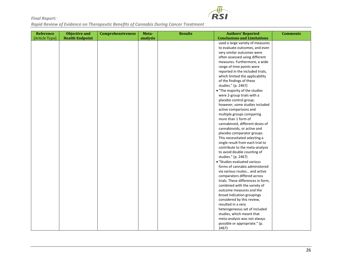

| <b>Reference</b> | <b>Objective and</b>   | <b>Comprehensiveness</b> | Meta-    | <b>Results</b> | <b>Authors' Reported</b>           | <b>Comments</b> |
|------------------|------------------------|--------------------------|----------|----------------|------------------------------------|-----------------|
| [Article Type]   | <b>Health Endpoint</b> |                          | analysis |                | <b>Conclusions and Limitations</b> |                 |
|                  |                        |                          |          |                | used a large variety of measures   |                 |
|                  |                        |                          |          |                | to evaluate outcomes, and even     |                 |
|                  |                        |                          |          |                | very similar outcomes were         |                 |
|                  |                        |                          |          |                | often assessed using different     |                 |
|                  |                        |                          |          |                | measures. Furthermore, a wide      |                 |
|                  |                        |                          |          |                | range of time points were          |                 |
|                  |                        |                          |          |                | reported in the included trials,   |                 |
|                  |                        |                          |          |                | which limited the applicability    |                 |
|                  |                        |                          |          |                | of the findings of these           |                 |
|                  |                        |                          |          |                | studies." (p. 2467)                |                 |
|                  |                        |                          |          |                | • "The majority of the studies     |                 |
|                  |                        |                          |          |                | were 2-group trials with a         |                 |
|                  |                        |                          |          |                | placebo control group;             |                 |
|                  |                        |                          |          |                | however, some studies included     |                 |
|                  |                        |                          |          |                | active comparisons and             |                 |
|                  |                        |                          |          |                | multiple groups comparing          |                 |
|                  |                        |                          |          |                | more than 1 form of                |                 |
|                  |                        |                          |          |                | cannabinoid, different doses of    |                 |
|                  |                        |                          |          |                | cannabinoids, or active and        |                 |
|                  |                        |                          |          |                | placebo comparator groups.         |                 |
|                  |                        |                          |          |                | This necessitated selecting a      |                 |
|                  |                        |                          |          |                | single result from each trial to   |                 |
|                  |                        |                          |          |                | contribute to the meta-analysis    |                 |
|                  |                        |                          |          |                | to avoid double counting of        |                 |
|                  |                        |                          |          |                | studies." (p. 2467)                |                 |
|                  |                        |                          |          |                | • "Studies evaluated various       |                 |
|                  |                        |                          |          |                | forms of cannabis administered     |                 |
|                  |                        |                          |          |                | via various routes and active      |                 |
|                  |                        |                          |          |                | comparators differed across        |                 |
|                  |                        |                          |          |                | trials. These differences in form, |                 |
|                  |                        |                          |          |                | combined with the variety of       |                 |
|                  |                        |                          |          |                | outcome measures and the           |                 |
|                  |                        |                          |          |                | broad indication groupings         |                 |
|                  |                        |                          |          |                | considered by this review,         |                 |
|                  |                        |                          |          |                | resulted in a very                 |                 |
|                  |                        |                          |          |                | heterogeneous set of included      |                 |
|                  |                        |                          |          |                | studies, which meant that          |                 |
|                  |                        |                          |          |                | meta-analysis was not always       |                 |
|                  |                        |                          |          |                | possible or appropriate." (p.      |                 |
|                  |                        |                          |          |                | 2467)                              |                 |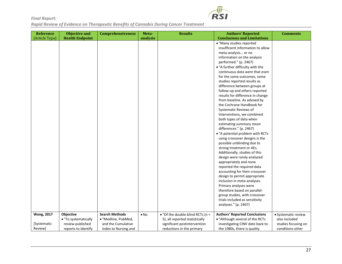

| Reference                                   | <b>Objective and</b>                                                         | <b>Comprehensiveness</b>                                                                   | Meta-        | <b>Results</b>                                                                                                                          | <b>Authors' Reported</b>                                                                                                                                                                                                                                                                                                     | <b>Comments</b>                                                                 |
|---------------------------------------------|------------------------------------------------------------------------------|--------------------------------------------------------------------------------------------|--------------|-----------------------------------------------------------------------------------------------------------------------------------------|------------------------------------------------------------------------------------------------------------------------------------------------------------------------------------------------------------------------------------------------------------------------------------------------------------------------------|---------------------------------------------------------------------------------|
| [Article Type]                              | <b>Health Endpoint</b>                                                       |                                                                                            | analysis     |                                                                                                                                         | <b>Conclusions and Limitations</b>                                                                                                                                                                                                                                                                                           |                                                                                 |
|                                             |                                                                              |                                                                                            |              |                                                                                                                                         | · "Many studies reported                                                                                                                                                                                                                                                                                                     |                                                                                 |
|                                             |                                                                              |                                                                                            |              |                                                                                                                                         | insufficient information to allow                                                                                                                                                                                                                                                                                            |                                                                                 |
|                                             |                                                                              |                                                                                            |              |                                                                                                                                         | meta-analysis or no                                                                                                                                                                                                                                                                                                          |                                                                                 |
|                                             |                                                                              |                                                                                            |              |                                                                                                                                         | information on the analysis                                                                                                                                                                                                                                                                                                  |                                                                                 |
|                                             |                                                                              |                                                                                            |              |                                                                                                                                         | performed." (p. 2467)                                                                                                                                                                                                                                                                                                        |                                                                                 |
|                                             |                                                                              |                                                                                            |              |                                                                                                                                         | • "A further difficulty with the                                                                                                                                                                                                                                                                                             |                                                                                 |
|                                             |                                                                              |                                                                                            |              |                                                                                                                                         | continuous data were that even                                                                                                                                                                                                                                                                                               |                                                                                 |
|                                             |                                                                              |                                                                                            |              |                                                                                                                                         | for the same outcomes, some                                                                                                                                                                                                                                                                                                  |                                                                                 |
|                                             |                                                                              |                                                                                            |              |                                                                                                                                         | studies reported results as                                                                                                                                                                                                                                                                                                  |                                                                                 |
|                                             |                                                                              |                                                                                            |              |                                                                                                                                         | difference between groups at                                                                                                                                                                                                                                                                                                 |                                                                                 |
|                                             |                                                                              |                                                                                            |              |                                                                                                                                         | follow-up and others reported                                                                                                                                                                                                                                                                                                |                                                                                 |
|                                             |                                                                              |                                                                                            |              |                                                                                                                                         | results for difference in change                                                                                                                                                                                                                                                                                             |                                                                                 |
|                                             |                                                                              |                                                                                            |              |                                                                                                                                         | from baseline. As advised by                                                                                                                                                                                                                                                                                                 |                                                                                 |
|                                             |                                                                              |                                                                                            |              |                                                                                                                                         | the Cochrane Handbook for                                                                                                                                                                                                                                                                                                    |                                                                                 |
|                                             |                                                                              |                                                                                            |              |                                                                                                                                         | Systematic Reviews of                                                                                                                                                                                                                                                                                                        |                                                                                 |
|                                             |                                                                              |                                                                                            |              |                                                                                                                                         | Interventions, we combined                                                                                                                                                                                                                                                                                                   |                                                                                 |
|                                             |                                                                              |                                                                                            |              |                                                                                                                                         | both types of data when                                                                                                                                                                                                                                                                                                      |                                                                                 |
|                                             |                                                                              |                                                                                            |              |                                                                                                                                         | estimating summary mean                                                                                                                                                                                                                                                                                                      |                                                                                 |
|                                             |                                                                              |                                                                                            |              |                                                                                                                                         | differences." (p. 2467)                                                                                                                                                                                                                                                                                                      |                                                                                 |
|                                             |                                                                              |                                                                                            |              |                                                                                                                                         | • "A potential problem with RCTs                                                                                                                                                                                                                                                                                             |                                                                                 |
|                                             |                                                                              |                                                                                            |              |                                                                                                                                         | using crossover designs is the                                                                                                                                                                                                                                                                                               |                                                                                 |
|                                             |                                                                              |                                                                                            |              |                                                                                                                                         | possible unblinding due to                                                                                                                                                                                                                                                                                                   |                                                                                 |
|                                             |                                                                              |                                                                                            |              |                                                                                                                                         | strong treatment or AEs.                                                                                                                                                                                                                                                                                                     |                                                                                 |
|                                             |                                                                              |                                                                                            |              |                                                                                                                                         | Additionally, studies of this                                                                                                                                                                                                                                                                                                |                                                                                 |
|                                             |                                                                              |                                                                                            |              |                                                                                                                                         | design were rarely analyzed                                                                                                                                                                                                                                                                                                  |                                                                                 |
|                                             |                                                                              |                                                                                            |              |                                                                                                                                         | appropriately and none                                                                                                                                                                                                                                                                                                       |                                                                                 |
|                                             |                                                                              |                                                                                            |              |                                                                                                                                         | reported the required data                                                                                                                                                                                                                                                                                                   |                                                                                 |
|                                             |                                                                              |                                                                                            |              |                                                                                                                                         | accounting for their crossover                                                                                                                                                                                                                                                                                               |                                                                                 |
|                                             |                                                                              |                                                                                            |              |                                                                                                                                         | design to permit appropriate                                                                                                                                                                                                                                                                                                 |                                                                                 |
|                                             |                                                                              |                                                                                            |              |                                                                                                                                         |                                                                                                                                                                                                                                                                                                                              |                                                                                 |
|                                             |                                                                              |                                                                                            |              |                                                                                                                                         |                                                                                                                                                                                                                                                                                                                              |                                                                                 |
|                                             |                                                                              |                                                                                            |              |                                                                                                                                         |                                                                                                                                                                                                                                                                                                                              |                                                                                 |
|                                             |                                                                              |                                                                                            |              |                                                                                                                                         |                                                                                                                                                                                                                                                                                                                              |                                                                                 |
|                                             |                                                                              |                                                                                            |              |                                                                                                                                         |                                                                                                                                                                                                                                                                                                                              |                                                                                 |
|                                             |                                                                              |                                                                                            |              |                                                                                                                                         |                                                                                                                                                                                                                                                                                                                              |                                                                                 |
|                                             |                                                                              |                                                                                            |              |                                                                                                                                         |                                                                                                                                                                                                                                                                                                                              |                                                                                 |
|                                             |                                                                              |                                                                                            |              |                                                                                                                                         |                                                                                                                                                                                                                                                                                                                              |                                                                                 |
|                                             |                                                                              |                                                                                            |              |                                                                                                                                         |                                                                                                                                                                                                                                                                                                                              |                                                                                 |
|                                             |                                                                              |                                                                                            |              |                                                                                                                                         |                                                                                                                                                                                                                                                                                                                              |                                                                                 |
| <b>Wong, 2017</b><br>[Systematic<br>Review] | Objective<br>• "To systematically<br>review published<br>reports to identify | <b>Search Methods</b><br>· "Medline, PubMed,<br>and the Cumulative<br>Index to Nursing and | $\bullet$ No | $\bullet$ "Of the double-blind RCTs (n =<br>5), all reported statistically<br>significant postintervention<br>reductions in the primary | inclusion in meta-analyses.<br>Primary analyses were<br>therefore based on parallel-<br>group studies, with crossover<br>trials included as sensitivity<br>analyses." (p. 2467)<br><b>Authors' Reported Conclusions</b><br>• "Although several of the RCTs<br>investigating CINV date back to<br>the 1980s, there is quality | · Systematic review<br>also included<br>studies focusing on<br>conditions other |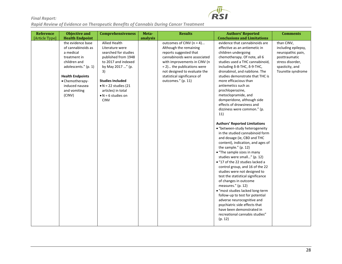

| Reference      | <b>Objective and</b>                                                                                                                                                                                   | <b>Comprehensiveness</b>                                                                                                                                                                                                                                               | Meta-    | <b>Results</b>                                                                                                                                                                                                                                                     | <b>Authors' Reported</b>                                                                                                                                                                                                                                                                                                                                                                                                                                                                                                                                                                                                                                                                                                                                                                                                                                                                                                                                                                                                                                                                                                                                   | <b>Comments</b>                                                                                                                     |
|----------------|--------------------------------------------------------------------------------------------------------------------------------------------------------------------------------------------------------|------------------------------------------------------------------------------------------------------------------------------------------------------------------------------------------------------------------------------------------------------------------------|----------|--------------------------------------------------------------------------------------------------------------------------------------------------------------------------------------------------------------------------------------------------------------------|------------------------------------------------------------------------------------------------------------------------------------------------------------------------------------------------------------------------------------------------------------------------------------------------------------------------------------------------------------------------------------------------------------------------------------------------------------------------------------------------------------------------------------------------------------------------------------------------------------------------------------------------------------------------------------------------------------------------------------------------------------------------------------------------------------------------------------------------------------------------------------------------------------------------------------------------------------------------------------------------------------------------------------------------------------------------------------------------------------------------------------------------------------|-------------------------------------------------------------------------------------------------------------------------------------|
| [Article Type] | <b>Health Endpoint</b>                                                                                                                                                                                 |                                                                                                                                                                                                                                                                        | analysis |                                                                                                                                                                                                                                                                    | <b>Conclusions and Limitations</b>                                                                                                                                                                                                                                                                                                                                                                                                                                                                                                                                                                                                                                                                                                                                                                                                                                                                                                                                                                                                                                                                                                                         |                                                                                                                                     |
|                | the evidence base<br>of cannabinoids as<br>a medical<br>treatment in<br>children and<br>adolescents." (p. 1)<br><b>Health Endpoints</b><br>• Chemotherapy-<br>induced nausea<br>and vomiting<br>(CINV) | <b>Allied Health</b><br>Literature were<br>searched for studies<br>published from 1948<br>to 2017 and indexed<br>by May 2017 " (p.<br>3)<br><b>Studies Included</b><br>$\bullet$ N = 22 studies (21<br>articles) in total<br>$\bullet$ N = 6 studies on<br><b>CINV</b> |          | outcomes of CINV (n = 4)<br>Although the remaining<br>reports suggested that<br>cannabinoids were associated<br>with improvements in CINV (n<br>$= 2$ ) the publications were<br>not designed to evaluate the<br>statistical significance of<br>outcomes." (p. 11) | evidence that cannabinoids are<br>effective as an antiemetic in<br>children undergoing<br>chemotherapy. Of note, all 6<br>studies used a THC cannabinoid,<br>including $\delta$ -8-THC, $\delta$ -9-THC,<br>dronabinol, and nabilone. The<br>studies demonstrate that THC is<br>more efficacious than<br>antiemetics such as<br>prochloperazine,<br>metoclopramide, and<br>domperidone, although side<br>effects of drowsiness and<br>dizziness were common." (p.<br>11)<br><b>Authors' Reported Limitations</b><br>• "between-study heterogeneity<br>in the studied cannabinoid form<br>and dosage (ie, CBD and THC<br>content), indication, and ages of<br>the sample." (p. 12)<br>• "The sample sizes in many<br>studies were small" (p. 12)<br>• "17 of the 22 studies lacked a<br>control group, and 16 of the 22<br>studies were not designed to<br>test the statistical significance<br>of changes in outcome<br>measures." (p. 12)<br>· "most studies lacked long-term<br>follow-up to test for potential<br>adverse neurocognitive and<br>psychiatric side effects that<br>have been demonstrated in<br>recreational cannabis studies"<br>(p. 12) | than CINV,<br>including epilepsy,<br>neuropathic pain,<br>posttraumatic<br>stress disorder,<br>spasticity, and<br>Tourette syndrome |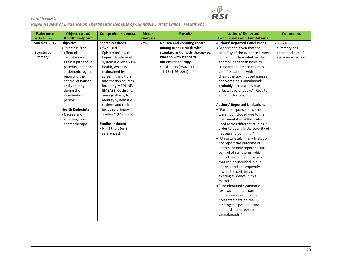

| <b>Reference</b> | <b>Objective and</b>    | <b>Comprehensiveness</b>     | Meta-         | <b>Results</b>                  | <b>Authors' Reported</b>             | <b>Comments</b>      |
|------------------|-------------------------|------------------------------|---------------|---------------------------------|--------------------------------------|----------------------|
| [Article Type]   | <b>Health Endpoint</b>  |                              | analysis      |                                 | <b>Conclusions and Limitations</b>   |                      |
| Morales, 2017    | Objective               | <b>Search Methods</b>        | $\bullet$ Yes | Nausea and vomiting control     | <b>Authors' Reported Conclusions</b> | • Structured         |
|                  | • To assess "the        | · "we used                   |               | among cannabinoids with         | • "At present, given that the        | summary has          |
| [Structured      | effect of               | Epistemonikos, the           |               | standard antiemetic therapy vs. | certainty of the evidence is very    | characteristics of a |
| Summary]         | cannabinoids            | largest database of          |               | <b>Placebo with standard</b>    | low, it is unclear whether the       | systematic review    |
|                  | against placebo in      | systematic reviews in        |               | antiemetic therapy              | addition of cannabinoids to          |                      |
|                  | patients under an       | health, which is             |               | $\bullet$ Risk Ratio (95% CI) = | standard antiemetic regimes          |                      |
|                  | antiemetic regime,      | maintained by                |               | 1.92 (1.26, 2.91)               | benefits patients with               |                      |
|                  | reporting the           | screening multiple           |               |                                 | chemotherapy induced nausea          |                      |
|                  | control of nausea       | information sources,         |               |                                 | and vomiting. Cannabinoids           |                      |
|                  | and vomiting            | including MEDLINE,           |               |                                 | probably increase adverse            |                      |
|                  | during the              | EMBASE, Cochrane,            |               |                                 | effects substantively." (Results     |                      |
|                  | intervention            | among others, to             |               |                                 | and Conclusions)                     |                      |
|                  | period"                 | identify systematic          |               |                                 |                                      |                      |
|                  |                         | reviews and their            |               |                                 | <b>Authors' Reported Limitations</b> |                      |
|                  | <b>Health Endpoints</b> | included primary             |               |                                 | • "Partial response outcomes         |                      |
|                  | • Nausea and            | studies." (Methods)          |               |                                 | were not included due to the         |                      |
|                  | vomiting from           |                              |               |                                 | high variability of the scales       |                      |
|                  | chemotherapy            | <b>Studies Included</b>      |               |                                 | used across different studies in     |                      |
|                  |                         | $\bullet$ N = 4 trials (or 8 |               |                                 | order to quantify the severity of    |                      |
|                  |                         | references)                  |               |                                 | nausea and vomiting."                |                      |
|                  |                         |                              |               |                                 | · "Unfortunately, many trials do     |                      |
|                  |                         |                              |               |                                 | not report the outcome of            |                      |
|                  |                         |                              |               |                                 | interest or only report partial      |                      |
|                  |                         |                              |               |                                 | control of symptoms, which           |                      |
|                  |                         |                              |               |                                 | limits the number of patients        |                      |
|                  |                         |                              |               |                                 | that can be included in our          |                      |
|                  |                         |                              |               |                                 | analysis and consequently            |                      |
|                  |                         |                              |               |                                 | lowers the certainty of the          |                      |
|                  |                         |                              |               |                                 | existing evidence in this            |                      |
|                  |                         |                              |               |                                 | matter."                             |                      |
|                  |                         |                              |               |                                 | • "The identified systematic         |                      |
|                  |                         |                              |               |                                 | reviews had important                |                      |
|                  |                         |                              |               |                                 | limitations regarding the            |                      |
|                  |                         |                              |               |                                 | presented data on the                |                      |
|                  |                         |                              |               |                                 | emetogenic potential and             |                      |
|                  |                         |                              |               |                                 | administration regime of             |                      |
|                  |                         |                              |               |                                 | cannabinoids."                       |                      |
|                  |                         |                              |               |                                 |                                      |                      |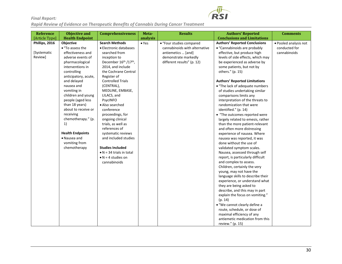

| Reference      | <b>Objective and</b>    | <b>Comprehensiveness</b>         | Meta-         | <b>Results</b>                | <b>Authors' Reported</b>             | <b>Comments</b>       |
|----------------|-------------------------|----------------------------------|---------------|-------------------------------|--------------------------------------|-----------------------|
| [Article Type] | <b>Health Endpoint</b>  |                                  | analysis      |                               | <b>Conclusions and Limitations</b>   |                       |
| Phillips, 2016 | Objective               | <b>Search Methods</b>            | $\bullet$ Yes | • "Four studies compared      | <b>Authors' Reported Conclusions</b> | • Pooled analysis not |
|                | • "To assess the        | • Electronic databases           |               | cannabinoids with alternative | • "Cannabinoids are probably         | conducted for         |
| [Systematic    | effectiveness and       | searched from                    |               | antiemetics  [and]            | effective, but produce high          | cannabinoids          |
| Review]        | adverse events of       | inception to                     |               | demonstrate markedly          | levels of side effects, which may    |                       |
|                | pharmacological         | December 16th /17th,             |               | different results" (p. 12)    | be experienced as adverse by         |                       |
|                | interventions in        | 2014, and include                |               |                               | some patients, but not by            |                       |
|                | controlling             | the Cochrane Central             |               |                               | others." (p. 15)                     |                       |
|                | anticipatory, acute,    | Register of                      |               |                               |                                      |                       |
|                | and delayed             | <b>Controlled Trials</b>         |               |                               | <b>Authors' Reported Limitations</b> |                       |
|                | nausea and              | (CENTRAL),                       |               |                               | • "The lack of adequate numbers      |                       |
|                | vomiting in             | MEDLINE, EMBASE,                 |               |                               | of studies undertaking similar       |                       |
|                | children and young      | LILACS, and                      |               |                               | comparisons limits any               |                       |
|                | people (aged less       | PsycINFO                         |               |                               | interpretation of the threats to     |                       |
|                | than 18 years)          | · Also searched                  |               |                               | randomization that were              |                       |
|                | about to receive or     | conference                       |               |                               | identified." (p. 14)                 |                       |
|                | receiving               | proceedings, for                 |               |                               | • "The outcomes reported were        |                       |
|                | chemotherapy." (p.      | ongoing clinical                 |               |                               | largely related to emesis, rather    |                       |
|                | 1)                      | trials, as well as               |               |                               | than the more patient-relevant       |                       |
|                |                         | references of                    |               |                               | and often more distressing           |                       |
|                | <b>Health Endpoints</b> | systematic reviews               |               |                               | experience of nausea. Where          |                       |
|                | • Nausea and            | and included studies             |               |                               | nausea was reported, it was          |                       |
|                | vomiting from           |                                  |               |                               | done without the use of              |                       |
|                | chemotherapy            | <b>Studies Included</b>          |               |                               | validated symptom scales.            |                       |
|                |                         | $\bullet$ N = 34 trials in total |               |                               | Nausea, assessed through self        |                       |
|                |                         | $\bullet$ N = 4 studies on       |               |                               | report, is particularly difficult    |                       |
|                |                         | cannabinoids                     |               |                               | and complex to assess.               |                       |
|                |                         |                                  |               |                               | Children, certainly the very         |                       |
|                |                         |                                  |               |                               | young, may not have the              |                       |
|                |                         |                                  |               |                               | language skills to describe their    |                       |
|                |                         |                                  |               |                               | experience, or understand what       |                       |
|                |                         |                                  |               |                               | they are being asked to              |                       |
|                |                         |                                  |               |                               | describe, and this may in part       |                       |
|                |                         |                                  |               |                               | explain the focus on vomiting."      |                       |
|                |                         |                                  |               |                               | (p. 14)                              |                       |
|                |                         |                                  |               |                               | · "We cannot clearly define a        |                       |
|                |                         |                                  |               |                               | route, schedule, or dose of          |                       |
|                |                         |                                  |               |                               | maximal efficiency of any            |                       |
|                |                         |                                  |               |                               | antiemetic medication from this      |                       |
|                |                         |                                  |               |                               | review." (p. 15)                     |                       |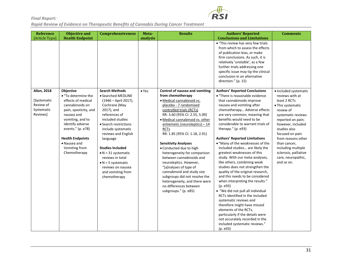

| <b>Reference</b><br>[Article Type]                       | <b>Objective and</b><br><b>Health Endpoint</b>                                                                                                                                                                                               | <b>Comprehensiveness</b>                                                                                                                                                                                                                                                                                                                                               | Meta-<br>analysis | <b>Results</b>                                                                                                                                                                                                                                                                                                                                                                                                                                                                                                                                                                            | <b>Authors' Reported</b><br><b>Conclusions and Limitations</b>                                                                                                                                                                                                                                                                                                                                                                                                                                                                                                                                                                                                                                                                                                                                                                                                                                           | <b>Comments</b>                                                                                                                                                                                                                                                                               |
|----------------------------------------------------------|----------------------------------------------------------------------------------------------------------------------------------------------------------------------------------------------------------------------------------------------|------------------------------------------------------------------------------------------------------------------------------------------------------------------------------------------------------------------------------------------------------------------------------------------------------------------------------------------------------------------------|-------------------|-------------------------------------------------------------------------------------------------------------------------------------------------------------------------------------------------------------------------------------------------------------------------------------------------------------------------------------------------------------------------------------------------------------------------------------------------------------------------------------------------------------------------------------------------------------------------------------------|----------------------------------------------------------------------------------------------------------------------------------------------------------------------------------------------------------------------------------------------------------------------------------------------------------------------------------------------------------------------------------------------------------------------------------------------------------------------------------------------------------------------------------------------------------------------------------------------------------------------------------------------------------------------------------------------------------------------------------------------------------------------------------------------------------------------------------------------------------------------------------------------------------|-----------------------------------------------------------------------------------------------------------------------------------------------------------------------------------------------------------------------------------------------------------------------------------------------|
| <b>Allan, 2018</b>                                       | <b>Objective</b>                                                                                                                                                                                                                             | <b>Search Methods</b>                                                                                                                                                                                                                                                                                                                                                  | $\bullet$ Yes     | Control of nausea and vomiting                                                                                                                                                                                                                                                                                                                                                                                                                                                                                                                                                            | • "This review has very few trials<br>from which to assess the effects<br>of publication bias, or make<br>firm conclusions. As such, it is<br>relatively 'unstable', as a few<br>further trials addressing one<br>specific issue may tip the clinical<br>conclusion in an alternative<br>direction." (p. 15)<br><b>Authors' Reported Conclusions</b>                                                                                                                                                                                                                                                                                                                                                                                                                                                                                                                                                     | · Included systematic                                                                                                                                                                                                                                                                         |
| [Systematic<br>Review of<br>Systematic<br><b>Reviews</b> | • "To determine the<br>effects of medical<br>cannabinoids on<br>pain, spasticity, and<br>nausea and<br>vomiting, and to<br>identify adverse<br>events." (p. e78)<br><b>Health Endpoints</b><br>• Nausea and<br>Vomiting from<br>Chemotherapy | • Searched MEDLINE<br>(1946 – April 2017),<br>Cochrane (May<br>2017), and<br>references of<br>included studies<br>• Search restrictions<br>include systematic<br>reviews and English<br>language<br><b>Studies Included</b><br>$\bullet$ N = 31 systematic<br>reviews in total<br>$\bullet$ N = 5 systematic<br>reviews on nausea<br>and vomiting from<br>chemotherapy |                   | from chemotherapy<br>· Medical cannabinoid vs.<br>placebo - 7 randomized<br>controlled trials (RCTs)<br>RR: 3.60 (95% CI: 2.55, 5.09)<br>· Medical cannabinoid vs. other<br>$anti$ emetic (neuroleptics) - 14<br><b>RCTs</b><br>RR: 1.85 (95% CI: 1.18, 2.91)<br><b>Sensitivity Analyses</b><br>• Conducted due to high<br>heterogeneity for comparison<br>between cannabinoids and<br>neuroleptics. However,<br>"[a]nalyses of type of<br>cannabinoid and study size<br>subgroups did not resolve the<br>heterogeneity, and there were<br>no differences between<br>subgroups." (p. e85) | • "There is reasonable evidence<br>that cannabinoids improve<br>nausea and vomiting after<br>chemotherapy Adverse effects<br>are very common, meaning that<br>benefits would need to be<br>considerable to warrant trials of<br>therapy." (p. e93)<br><b>Authors' Reported Limitations</b><br>• "Many of the weaknesses of the<br>included studies are likely the<br>greatest weaknesses of this<br>study. With our meta-analyses,<br>like others, combining weak<br>studies does not strengthen the<br>quality of the original research,<br>and this needs to be considered<br>when interpreting the results."<br>(p. e93)<br>• "We did not pull all individual<br>RCTs identified in the included<br>systematic reviews and<br>therefore might have missed<br>elements of the RCTs,<br>particularly if the details were<br>not accurately recorded in the<br>included systematic reviews."<br>(p. e93) | reviews with at<br>least 2 RCTs<br>• This systematic<br>review of<br>systematic reviews<br>reported on pain;<br>however, included<br>studies also<br>focused on pain<br>from reasons other<br>than cancer,<br>including multiple<br>sclerosis, palliative<br>care, neuropathic,<br>and so on. |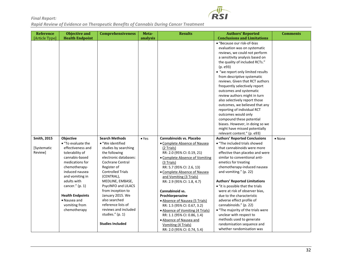

| <b>Reference</b>   | <b>Objective and</b>            | <b>Comprehensiveness</b>              | Meta-         | <b>Results</b>                             | <b>Authors' Reported</b>                                              | <b>Comments</b> |
|--------------------|---------------------------------|---------------------------------------|---------------|--------------------------------------------|-----------------------------------------------------------------------|-----------------|
| [Article Type]     | <b>Health Endpoint</b>          |                                       | analysis      |                                            | <b>Conclusions and Limitations</b>                                    |                 |
|                    |                                 |                                       |               |                                            | • "Because our risk-of-bias                                           |                 |
|                    |                                 |                                       |               |                                            | evaluation was on systematic                                          |                 |
|                    |                                 |                                       |               |                                            | reviews, we could not perform                                         |                 |
|                    |                                 |                                       |               |                                            | a sensitivity analysis based on                                       |                 |
|                    |                                 |                                       |               |                                            | the quality of included RCTs."                                        |                 |
|                    |                                 |                                       |               |                                            | (p. e93)                                                              |                 |
|                    |                                 |                                       |               |                                            | • "we report only limited results                                     |                 |
|                    |                                 |                                       |               |                                            | from descriptive systematic                                           |                 |
|                    |                                 |                                       |               |                                            | reviews. Given that RCT authors                                       |                 |
|                    |                                 |                                       |               |                                            | frequently selectively report                                         |                 |
|                    |                                 |                                       |               |                                            | outcomes and systematic                                               |                 |
|                    |                                 |                                       |               |                                            | review authors might in turn                                          |                 |
|                    |                                 |                                       |               |                                            | also selectively report those                                         |                 |
|                    |                                 |                                       |               |                                            | outcomes, we believed that any                                        |                 |
|                    |                                 |                                       |               |                                            | reporting of individual RCT                                           |                 |
|                    |                                 |                                       |               |                                            | outcomes would only                                                   |                 |
|                    |                                 |                                       |               |                                            | compound these potential                                              |                 |
|                    |                                 |                                       |               |                                            | biases. However, in doing so we                                       |                 |
|                    |                                 |                                       |               |                                            | might have missed potentially                                         |                 |
| <b>Smith, 2015</b> |                                 | <b>Search Methods</b>                 |               | Cannabinoids vs. Placebo                   | relevant content." (p. e93)                                           |                 |
|                    | Objective<br>• "To evaluate the | • "We identified                      | $\bullet$ Yes |                                            | <b>Authors' Reported Conclusions</b><br>• "The included trials showed | • None          |
| [Systematic        | effectiveness and               |                                       |               | • Complete Absence of Nausea<br>(2 Trials) | that cannabinoids were more                                           |                 |
| Review]            | tolerability of                 | studies by searching<br>the following |               | RR: 2.0 (95% CI: 0.19, 21)                 | effective than placebo and were                                       |                 |
|                    | cannabis-based                  | electronic databases:                 |               | · Complete Absence of Vomiting             | similar to conventional anti-                                         |                 |
|                    | medications for                 | <b>Cochrane Central</b>               |               | (3 Trials)                                 | emetics for treating                                                  |                 |
|                    | chemotherapy-                   | Register of                           |               | RR: 5.7 (95% CI: 2.6, 13)                  | chemotherapy-induced nausea                                           |                 |
|                    | induced nausea                  | <b>Controlled Trials</b>              |               | · Complete Absence of Nausea               | and vomiting." (p. 22)                                                |                 |
|                    | and vomiting in                 | (CENTRAL),                            |               | and Vomiting (3 Trials)                    |                                                                       |                 |
|                    | adults with                     | MEDLINE, EMBASE,                      |               | RR: 2.9 (95% CI: 1.8, 4.7)                 | <b>Authors' Reported Limitations</b>                                  |                 |
|                    | cancer." (p. 1)                 | PsycINFO and LILACS                   |               |                                            | • "it is possible that the trials                                     |                 |
|                    |                                 | from inception to                     |               | Cannabinoid vs.                            | were at risk of observer bias,                                        |                 |
|                    | <b>Health Endpoints</b>         | January 2015. We                      |               | Prochlorperazine                           | due to the characteristic                                             |                 |
|                    | · Nausea and                    | also searched                         |               | · Absence of Nausea (5 Trials)             | adverse effect profile of                                             |                 |
|                    | vomiting from                   | reference lists of                    |               | RR: 1.5 (95% CI: 0.67, 3.2)                | cannabinoids." (p. 22)                                                |                 |
|                    | chemotherapy                    | reviews and included                  |               | • Absence of Vomiting (4 Trials)           | • "The majority of the trials were                                    |                 |
|                    |                                 | studies." (p. 1)                      |               | RR: 1.1 (95% CI: 0.86, 1.4)                | unclear with respect to                                               |                 |
|                    |                                 |                                       |               | · Absence of Nausea and                    | methods used to generate                                              |                 |
|                    |                                 | <b>Studies Included</b>               |               | Vomiting (4 Trials)                        | randomisation sequence and                                            |                 |
|                    |                                 |                                       |               | RR: 2.0 (95% CI: 0.74, 5.4)                | whether randomisation was                                             |                 |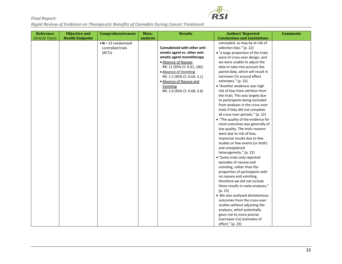

| [Article Type]<br><b>Health Endpoint</b><br>analysis<br><b>Conclusions and Limitations</b><br>$\bullet$ N = 23 randomized<br>concealed, so may be at risk of<br>Cannabinoid with other anti-<br>selection bias." (p. 22)<br>controlled trials<br>emetic agent vs. other anti-<br>· "a large proportion of the trials<br>(RCTs)<br>emetic agent monotherapy<br>were of cross-over design, and<br>• Absence of Nausea<br>we were unable to adjust the<br>RR: 11 (95% CI: 0.61, 182)<br>data to take into account the<br>paired data, which will result in<br>• Absence of Vomiting<br>narrower CIs around effect<br>RR: 1.5 (95% CI: 0.69, 3.1)<br>estimates." (p. 22)<br>· Absence of Nausea and<br>· "Another weakness was high<br>Vomiting<br>risk of bias from attrition from<br>RR: 1.6 (95% CI: 0.68, 3.6)<br>the trials. This was largely due<br>to participants being excluded<br>from analyses in the cross-over<br>trials if they did not complete<br>all cross-over periods." (p. 22)<br>• "The quality of the evidence for<br>most outcomes was generally of<br>low quality. The main reasons<br>were due to risk of bias,<br>imprecise results due to few<br>studies or few events (or both)<br>and unexplained<br>heterogeneity." (p. 22)<br>• "Some trials only reported<br>episodes of nausea and<br>vomiting, rather than the<br>proportion of participants with<br>no nausea and vomiting,<br>therefore we did not include<br>these results in meta-analyses."<br>(p. 23)<br>• We also analysed dichotomous<br>outcomes from the cross-over | <b>Reference</b><br><b>Objective and</b> | <b>Comprehensiveness</b> | Meta- | <b>Results</b> | <b>Authors' Reported</b>      | <b>Comments</b> |
|-------------------------------------------------------------------------------------------------------------------------------------------------------------------------------------------------------------------------------------------------------------------------------------------------------------------------------------------------------------------------------------------------------------------------------------------------------------------------------------------------------------------------------------------------------------------------------------------------------------------------------------------------------------------------------------------------------------------------------------------------------------------------------------------------------------------------------------------------------------------------------------------------------------------------------------------------------------------------------------------------------------------------------------------------------------------------------------------------------------------------------------------------------------------------------------------------------------------------------------------------------------------------------------------------------------------------------------------------------------------------------------------------------------------------------------------------------------------------------------------------------------------------------------------------------------|------------------------------------------|--------------------------|-------|----------------|-------------------------------|-----------------|
|                                                                                                                                                                                                                                                                                                                                                                                                                                                                                                                                                                                                                                                                                                                                                                                                                                                                                                                                                                                                                                                                                                                                                                                                                                                                                                                                                                                                                                                                                                                                                             |                                          |                          |       |                |                               |                 |
| analyses, which potentially<br>gives rise to more precise                                                                                                                                                                                                                                                                                                                                                                                                                                                                                                                                                                                                                                                                                                                                                                                                                                                                                                                                                                                                                                                                                                                                                                                                                                                                                                                                                                                                                                                                                                   |                                          |                          |       |                | studies without adjusting the |                 |

**RSI**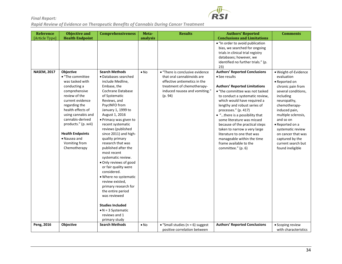

| Reference          | <b>Objective and</b>                                                                                                                                                                                                                                                                          | <b>Comprehensiveness</b>                                                                                                                                                                                                                                                                                                                                                                                                                                                                                                                                                                                                     | Meta-        | <b>Results</b>                                                                                                                       | <b>Authors' Reported</b>                                                                                                                                                                                                                                                                                                                                                                                                                                         | <b>Comments</b>                                                                                                                                                                                                                                                                                      |
|--------------------|-----------------------------------------------------------------------------------------------------------------------------------------------------------------------------------------------------------------------------------------------------------------------------------------------|------------------------------------------------------------------------------------------------------------------------------------------------------------------------------------------------------------------------------------------------------------------------------------------------------------------------------------------------------------------------------------------------------------------------------------------------------------------------------------------------------------------------------------------------------------------------------------------------------------------------------|--------------|--------------------------------------------------------------------------------------------------------------------------------------|------------------------------------------------------------------------------------------------------------------------------------------------------------------------------------------------------------------------------------------------------------------------------------------------------------------------------------------------------------------------------------------------------------------------------------------------------------------|------------------------------------------------------------------------------------------------------------------------------------------------------------------------------------------------------------------------------------------------------------------------------------------------------|
| [Article Type]     | <b>Health Endpoint</b>                                                                                                                                                                                                                                                                        |                                                                                                                                                                                                                                                                                                                                                                                                                                                                                                                                                                                                                              | analysis     |                                                                                                                                      | <b>Conclusions and Limitations</b>                                                                                                                                                                                                                                                                                                                                                                                                                               |                                                                                                                                                                                                                                                                                                      |
| <b>NASEM, 2017</b> | Objective                                                                                                                                                                                                                                                                                     | <b>Search Methods</b>                                                                                                                                                                                                                                                                                                                                                                                                                                                                                                                                                                                                        | $\bullet$ No | • "There is conclusive evidence                                                                                                      | . "In order to avoid publication<br>bias, we searched for ongoing<br>trials in clinical trial registry<br>databases; however, we<br>identified no further trials." (p.<br>23)<br><b>Authors' Reported Conclusions</b>                                                                                                                                                                                                                                            | · Weight-of-Evidence                                                                                                                                                                                                                                                                                 |
|                    | • "The committee<br>was tasked with<br>conducting a<br>comprehensive<br>review of the<br>current evidence<br>regarding the<br>health effects of<br>using cannabis and<br>cannabis-derived<br>products." (p. xvii)<br><b>Health Endpoints</b><br>• Nausea and<br>Vomiting from<br>Chemotherapy | • Databases searched<br>include Medline,<br>Embase, the<br>Cochrane Database<br>of Systematic<br>Reviews, and<br>PsycINFO from<br>January 1, 1999 to<br>August 1, 2016<br>· Primacy was given to<br>recent systematic<br>reviews (published<br>since 2011) and high-<br>quality primary<br>research that was<br>published after the<br>most recent<br>systematic review.<br>. Only reviews of good<br>or fair quality were<br>considered.<br>• Where no systematic<br>review existed,<br>primary research for<br>the entire period<br>was reviewed<br><b>Studies Included</b><br>$\bullet$ N = 3 Systematic<br>reviews and 1 |              | that oral cannabinoids are<br>effective antiemetics in the<br>treatment of chemotherapy-<br>induced nausea and vomiting."<br>(p. 94) | • See results<br><b>Authors' Reported Limitations</b><br>• "the committee was not tasked<br>to conduct a systematic review,<br>which would have required a<br>lengthy and robust series of<br>processes." (p. 417)<br>• "there is a possibility that<br>some literature was missed<br>because of the practical steps<br>taken to narrow a very large<br>literature to one that was<br>manageable within the time<br>frame available to the<br>committee." (p. 6) | evaluation<br>• Reported on<br>chronic pain from<br>several conditions,<br>including<br>neuropathy,<br>chemotherapy-<br>induced pain,<br>multiple sclerosis,<br>and so on<br>• Reported on a<br>systematic review<br>on cancer that was<br>captured by the<br>current search but<br>found ineligible |
| Peng, 2016         | Objective                                                                                                                                                                                                                                                                                     | primary study                                                                                                                                                                                                                                                                                                                                                                                                                                                                                                                                                                                                                |              |                                                                                                                                      | <b>Authors' Reported Conclusions</b>                                                                                                                                                                                                                                                                                                                                                                                                                             |                                                                                                                                                                                                                                                                                                      |
|                    |                                                                                                                                                                                                                                                                                               | <b>Search Methods</b>                                                                                                                                                                                                                                                                                                                                                                                                                                                                                                                                                                                                        | $\bullet$ No | • "Small studies ( $n = 6$ ) suggest                                                                                                 |                                                                                                                                                                                                                                                                                                                                                                                                                                                                  | • Scoping review                                                                                                                                                                                                                                                                                     |
|                    |                                                                                                                                                                                                                                                                                               |                                                                                                                                                                                                                                                                                                                                                                                                                                                                                                                                                                                                                              |              | positive correlation between                                                                                                         |                                                                                                                                                                                                                                                                                                                                                                                                                                                                  | with characteristics                                                                                                                                                                                                                                                                                 |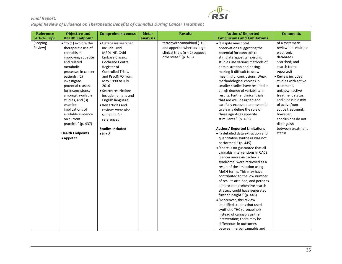

| Reference           | <b>Objective and</b>                                                                                                                                                                                                                                                                                                                                                                             | <b>Comprehensiveness</b>                                                                                                                                                                                                                                                                                                                                                     | Meta-    | <b>Results</b>                                                                                                          | <b>Authors' Reported</b>                                                                                                                                                                                                                                                                                                                                                                                                                                                                                                                                                                                                                                                                                                                                                                                                                                                                                                                                                                                                                                                                                                                                                                                            | <b>Comments</b>                                                                                                                                                                                                                                                                                                                                                 |
|---------------------|--------------------------------------------------------------------------------------------------------------------------------------------------------------------------------------------------------------------------------------------------------------------------------------------------------------------------------------------------------------------------------------------------|------------------------------------------------------------------------------------------------------------------------------------------------------------------------------------------------------------------------------------------------------------------------------------------------------------------------------------------------------------------------------|----------|-------------------------------------------------------------------------------------------------------------------------|---------------------------------------------------------------------------------------------------------------------------------------------------------------------------------------------------------------------------------------------------------------------------------------------------------------------------------------------------------------------------------------------------------------------------------------------------------------------------------------------------------------------------------------------------------------------------------------------------------------------------------------------------------------------------------------------------------------------------------------------------------------------------------------------------------------------------------------------------------------------------------------------------------------------------------------------------------------------------------------------------------------------------------------------------------------------------------------------------------------------------------------------------------------------------------------------------------------------|-----------------------------------------------------------------------------------------------------------------------------------------------------------------------------------------------------------------------------------------------------------------------------------------------------------------------------------------------------------------|
| [Article Type]      | <b>Health Endpoint</b>                                                                                                                                                                                                                                                                                                                                                                           |                                                                                                                                                                                                                                                                                                                                                                              | analysis |                                                                                                                         | <b>Conclusions and Limitations</b>                                                                                                                                                                                                                                                                                                                                                                                                                                                                                                                                                                                                                                                                                                                                                                                                                                                                                                                                                                                                                                                                                                                                                                                  |                                                                                                                                                                                                                                                                                                                                                                 |
| [Scoping<br>Review] | $\bullet$ "to (1) explore the<br>therapeutic use of<br>cannabis in<br>improving appetite<br>and related<br>metabolic<br>processes in cancer<br>patients, (2)<br>investigate<br>potential reasons<br>for inconsistency<br>amongst available<br>studies, and (3)<br>examine<br>implications of<br>available evidence<br>on current<br>practice." (p. 437)<br><b>Health Endpoints</b><br>• Appetite | · Databases searched<br>include Ovid<br>MEDLINE, Ovid<br>Embase Classic,<br>Cochrane Central<br>Register of<br>Controlled Trials,<br>and PsycINFO from<br>May 1990 to July<br>2016<br>• Search restrictions<br>include humans and<br>English language<br>• Key articles and<br>reviews were also<br>searched for<br>references<br><b>Studies Included</b><br>$\bullet N = 8$ |          | tetrohydrocannabinol (THC)<br>and appetite whereas large<br>clinical trials ( $n = 2$ ) suggest<br>otherwise." (p. 435) | • "Despite anecdotal<br>observations suggesting the<br>potential for cannabis to<br>stimulate appetite, existing<br>studies use various methods of<br>administration and dosing,<br>making it difficult to draw<br>meaningful conclusions. Weak<br>methodological choices in<br>smaller studies have resulted in<br>a high degree of variability in<br>results. Further clinical trials<br>that are well designed and<br>carefully executed are essential<br>to clearly define the role of<br>these agents as appetite<br>stimulants." (p. 435)<br><b>Authors' Reported Limitations</b><br>• "a detailed data extraction and<br>quantitative synthesis was not<br>performed." (p. 445)<br>• "there is no guarantee that all<br>cannabis interventions in CACS<br>[cancer anorexia cachexia<br>syndrome] were retrieved as a<br>result of the limitation using<br>MeSH terms. This may have<br>contributed to the low number<br>of results attained, and perhaps<br>a more comprehensive search<br>strategy could have generated<br>further insight." (p. 445)<br>· "Moreover, this review<br>identified studies that used<br>synthetic THC (dronabinol)<br>instead of cannabis as the<br>intervention; there may be | of a systematic<br>review (i.e. multiple<br>electronic<br>databases<br>searched, and<br>search terms<br>reported)<br>• Review includes<br>studies with active<br>treatment,<br>unknown active<br>treatment status,<br>and a possible mix<br>of active/non-<br>active treatment;<br>however,<br>conclusions do not<br>distinguish<br>between treatment<br>status |
|                     |                                                                                                                                                                                                                                                                                                                                                                                                  |                                                                                                                                                                                                                                                                                                                                                                              |          |                                                                                                                         | differences in outcomes                                                                                                                                                                                                                                                                                                                                                                                                                                                                                                                                                                                                                                                                                                                                                                                                                                                                                                                                                                                                                                                                                                                                                                                             |                                                                                                                                                                                                                                                                                                                                                                 |
|                     |                                                                                                                                                                                                                                                                                                                                                                                                  |                                                                                                                                                                                                                                                                                                                                                                              |          |                                                                                                                         | between herbal cannabis and                                                                                                                                                                                                                                                                                                                                                                                                                                                                                                                                                                                                                                                                                                                                                                                                                                                                                                                                                                                                                                                                                                                                                                                         |                                                                                                                                                                                                                                                                                                                                                                 |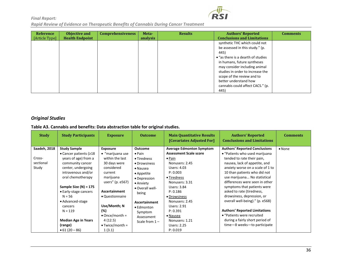**RSI** 

*Final Report: Rapid Review of Evidence on Therapeutic Benefits of Cannabis During Cancer Treatment*

| Reference<br>[Article Type] | Objective and<br><b>Health Endpoint</b> | <b>Comprehensiveness</b> | Meta-<br>analysis | <b>Results</b> | <b>Authors' Reported</b><br><b>Conclusions and Limitations</b>                                                                                                                                                                                                                                                         | <b>Comments</b> |
|-----------------------------|-----------------------------------------|--------------------------|-------------------|----------------|------------------------------------------------------------------------------------------------------------------------------------------------------------------------------------------------------------------------------------------------------------------------------------------------------------------------|-----------------|
|                             |                                         |                          |                   |                | synthetic THC which could not<br>be assessed in this study." (p.<br>445)<br>• "as there is a dearth of studies"<br>in humans, future syntheses<br>may consider including animal<br>studies in order to increase the<br>scope of the review and to<br>better understand how<br>cannabis could affect CACS." (p.<br>445) |                 |

#### *Original Studies*

**Table A3. Cannabis and benefits: Data abstraction table for original studies.**

<span id="page-35-0"></span>

| <b>Study</b>                                 | <b>Study Participants</b>                                                                                                                                                                                                                                                                                       | <b>Exposure</b>                                                                                                                                                                                                                                                    | <b>Outcome</b>                                                                                                                                                                                                                                         | <b>Main Quantitative Results</b><br>[Covariates Adjusted For]                                                                                                                                                                                                                                                        | <b>Authors' Reported</b><br><b>Conclusions and Limitations</b>                                                                                                                                                                                                                                                                                                                                                                                                                                                                                   | <b>Comments</b> |
|----------------------------------------------|-----------------------------------------------------------------------------------------------------------------------------------------------------------------------------------------------------------------------------------------------------------------------------------------------------------------|--------------------------------------------------------------------------------------------------------------------------------------------------------------------------------------------------------------------------------------------------------------------|--------------------------------------------------------------------------------------------------------------------------------------------------------------------------------------------------------------------------------------------------------|----------------------------------------------------------------------------------------------------------------------------------------------------------------------------------------------------------------------------------------------------------------------------------------------------------------------|--------------------------------------------------------------------------------------------------------------------------------------------------------------------------------------------------------------------------------------------------------------------------------------------------------------------------------------------------------------------------------------------------------------------------------------------------------------------------------------------------------------------------------------------------|-----------------|
| Saadeh, 2018<br>Cross-<br>sectional<br>Study | <b>Study Sample</b><br>• Cancer patients (≥18<br>years of age) from a<br>community cancer<br>center, undergoing<br>intravenous and/or<br>oral chemotherapy<br>Sample Size $(N) = 175$<br>• Early-stage cancers<br>$N = 56$<br>• Advanced-stage<br>cancers<br>$N = 119$<br><b>Median Age in Years</b><br>(range) | <b>Exposure</b><br>• "marijuana use<br>within the last<br>30 days were<br>considered<br>current<br>marijuana<br>users" (p. e567)<br><b>Ascertainment</b><br>• Questionnaire<br>Use/Month; N<br>(%)<br>$\bullet$ Once/month =<br>4(12.5)<br>$\bullet$ Twice/month = | <b>Outcome</b><br>$\bullet$ Pain<br>$\bullet$ Tiredness<br>• Drowsiness<br>$\bullet$ Nausea<br>$\bullet$ Appetite<br>• Depression<br>• Anxiety<br>• Overall well-<br>being<br>Ascertainment<br>• Edmonton<br>Symptom<br>Assessment<br>Scale from $1 -$ | <b>Average Edmonton Symptom</b><br><b>Assessment Scale score</b><br>$\bullet$ Pain<br>Nonusers: 2.45<br>Users: 4.03<br>P: 0.003<br>• Tiredness<br>Nonusers: 3.31<br>Users: 3.84<br>P: 0.186<br>• Drowsiness<br>Nonusers: 2.45<br>Users: 2.91<br>P: 0.391<br>$\bullet$ Nausea<br>Nonusers: 1.21<br><b>Users: 2.25</b> | <b>Authors' Reported Conclusions</b><br>• "Patients who used marijuana<br>tended to rate their pain,<br>nausea, lack of appetite, and<br>anxiety worse on a scale of 1 to<br>10 than patients who did not<br>use marijuana No statistical<br>differences were seen in other<br>symptoms that patients were<br>asked to rate (tiredness,<br>drowsiness, depression, or<br>overall well-being)." (p. e568)<br><b>Authors' Reported Limitations</b><br>• "Patients were recruited<br>during a fairly short period of<br>time-8 weeks-to participate | $\bullet$ None  |
|                                              | $\bullet$ 61 (20 - 86)                                                                                                                                                                                                                                                                                          | 1(3.1)                                                                                                                                                                                                                                                             |                                                                                                                                                                                                                                                        | P: 0.019                                                                                                                                                                                                                                                                                                             |                                                                                                                                                                                                                                                                                                                                                                                                                                                                                                                                                  |                 |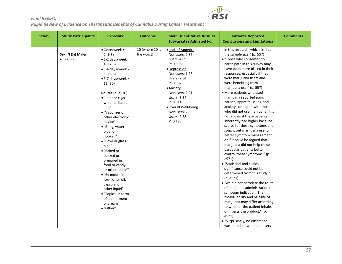| <b>Study</b> | <b>Study Participants</b>      | <b>Exposure</b>                                                                                                                                                                                                                                                                                                                                                                                                                                                                                                                                                                     | <b>Outcome</b>                | <b>Main Quantitative Results</b><br>[Covariates Adjusted For]                                                                                                                                                                                                                    | <b>Authors' Reported</b><br><b>Conclusions and Limitations</b>                                                                                                                                                                                                                                                                                                                                                                                                                                                                                                                                                                                                                                                                                                                                                                                                                                                                                                                                                                                                                                                                                                                 | <b>Comments</b> |
|--------------|--------------------------------|-------------------------------------------------------------------------------------------------------------------------------------------------------------------------------------------------------------------------------------------------------------------------------------------------------------------------------------------------------------------------------------------------------------------------------------------------------------------------------------------------------------------------------------------------------------------------------------|-------------------------------|----------------------------------------------------------------------------------------------------------------------------------------------------------------------------------------------------------------------------------------------------------------------------------|--------------------------------------------------------------------------------------------------------------------------------------------------------------------------------------------------------------------------------------------------------------------------------------------------------------------------------------------------------------------------------------------------------------------------------------------------------------------------------------------------------------------------------------------------------------------------------------------------------------------------------------------------------------------------------------------------------------------------------------------------------------------------------------------------------------------------------------------------------------------------------------------------------------------------------------------------------------------------------------------------------------------------------------------------------------------------------------------------------------------------------------------------------------------------------|-----------------|
|              | Sex; N (%) Males<br>• 57(32.6) | $\bullet$ Once/week =<br>2(6.3)<br>$\bullet$ 1-2 days/week =<br>4(12.5)<br>$\bullet$ 3-4 days/week =<br>5(15.6)<br>$\bullet$ 5-7 days/week =<br>16 (50)<br><b>Routes</b> (p. e570)<br>• "Joint or cigar<br>with marijuana<br>in it"<br>• "Vaporizer or<br>other electronic<br>device"<br>• "Bong, water<br>pipe, or<br>hookah"<br>• "Bowl or glass<br>pipe"<br>• "Baked or<br>cooked or<br>prepared in<br>food or candy,<br>or other edible"<br>• "By mouth in<br>form of an oil,<br>capsule, or<br>other liquid"<br>• "Topical in form<br>of an ointment<br>or cream"<br>• "Other" | 10 (where 10 is<br>the worst) | • Lack of Appetite<br>Nonusers: 2.36<br><b>Users: 4.09</b><br>P: 0.008<br>• Depression<br>Nonusers: 1.96<br>Users: 2.34<br>P: 0.302<br>• Anxiety<br>Nonusers: 2.21<br><b>Users: 3.34</b><br>P: 0.014<br>· Overall Well-being<br>Nonusers: 2.33<br><b>Users: 2.88</b><br>P: 0.123 | in this research, which limited<br>the sample size." (p. 557)<br>• "Those who consented to<br>participate in this survey may<br>have been more biased in their<br>responses, especially if they<br>were marijuana users and<br>were benefiting from<br>marijuana use." (p. 557)<br>· More patients who used<br>marijuana reported pain,<br>nausea, appetite issues, and<br>anxiety compared with those<br>who did not use marijuana. It is<br>not known if these patients<br>inherently had higher baseline<br>scores for these symptoms and<br>sought out marijuana use for<br>better symptom management<br>or if it could be argued that<br>marijuana did not help these<br>particular patients better<br>control these symptoms." (p.<br>e571)<br>• "Statistical and clinical<br>significance could not be<br>determined from this study."<br>(p. e571)<br>• "we did not correlate the route"<br>of marijuana administration to<br>symptom indication. The<br>bioavailability and half-life of<br>marijuana may differ according<br>to whether the patient inhales<br>or ingests the product." (p.<br>e571)<br>• "Surprisingly, no difference<br>was noted between nonusers |                 |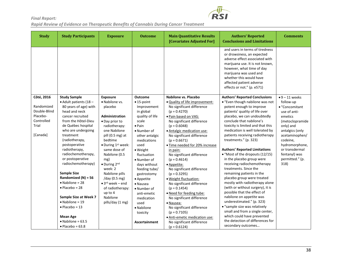

| <b>Study</b>             | <b>Study Participants</b>                             | <b>Exposure</b>                                       | <b>Outcome</b>                  | <b>Main Quantitative Results</b><br>[Covariates Adjusted For] | <b>Authors' Reported</b><br><b>Conclusions and Limitations</b>                                                                                                                                                                                                                 | <b>Comments</b>                     |
|--------------------------|-------------------------------------------------------|-------------------------------------------------------|---------------------------------|---------------------------------------------------------------|--------------------------------------------------------------------------------------------------------------------------------------------------------------------------------------------------------------------------------------------------------------------------------|-------------------------------------|
|                          |                                                       |                                                       |                                 |                                                               | and users in terms of tiredness<br>or drowsiness, an expected<br>adverse effect associated with<br>marijuana use. It is not known,<br>however, what time of day<br>marijuana was used and<br>whether this would have<br>affected patient adverse<br>effects or not." (p. e571) |                                     |
| Côté, 2016               | <b>Study Sample</b><br>$\bullet$ Adult patients (18 - | <b>Exposure</b><br>• Nabilone vs.                     | <b>Outcome</b><br>$• 15$ -point | Nabilone vs. Placebo<br>. Quality of life improvement:        | <b>Authors' Reported Conclusions</b><br>• "Even though nabilone was not                                                                                                                                                                                                        | $\bullet$ 9 – 11 weeks<br>follow-up |
| Randomized               | 80 years of age) with                                 | placebo                                               | Improvement                     | No significant difference                                     | potent enough to improve                                                                                                                                                                                                                                                       | • "Concomitant                      |
| Double-Blind<br>Placebo- | head and neck<br>cancer recruited                     | <b>Administration</b>                                 | in global<br>quality of life    | $(p = 0.4270)$                                                | patients' quality of life over<br>placebo, we can undoubtedly                                                                                                                                                                                                                  | use of anti-<br>emetics             |
| Controlled               | from the Hôtel-Dieu                                   | · Day prior to                                        | scale                           | · Pain based on VAS:<br>No significant difference             | conclude that nabilone's                                                                                                                                                                                                                                                       | (metoclopramide                     |
| Trial                    | de Québec hospital                                    | radiotherapy:                                         | $\bullet$ Pain                  | $(p = 0.6048)$                                                | toxicity is limited and that this                                                                                                                                                                                                                                              | only) and                           |
|                          | who are undergoing                                    | one Nabilone                                          | • Number of                     | • Antalgic medication use:                                    | medication is well tolerated by                                                                                                                                                                                                                                                | antalgics (only                     |
| [Canada]                 | treatment                                             | pill (0.5 mg) at                                      | other antalgic                  | No significant difference                                     | patients receiving radiotherapy                                                                                                                                                                                                                                                | acetaminophen/                      |
|                          | (radiotherapy,<br>postoperative                       | bedtime<br>$\bullet$ During 1 <sup>st</sup> week:     | medications<br>used             | $(p = 0.6671)$                                                | treatments." (p. 323)                                                                                                                                                                                                                                                          | codeine,<br>hydromorphone,          |
|                          | radiotherapy,                                         | same dose of                                          | · Weight                        | · Time needed for 20% increase<br>in pain:                    | <b>Authors' Reported Limitations</b>                                                                                                                                                                                                                                           | or transdermal                      |
|                          | radiochemotherapy,                                    | Nabilone (0.5                                         | fluctuation                     | No significant difference                                     | • "Most of the dropouts (12/15)                                                                                                                                                                                                                                                | fentanyl) was                       |
|                          | or postoperative                                      | mg)                                                   | • Number of                     | $(p = 0.4614)$                                                | in the placebo group were                                                                                                                                                                                                                                                      | permitted." (p.                     |
|                          | radiochemotherapy)                                    | $\bullet$ During 2 <sup>nd</sup>                      | days without                    | • Appetite:                                                   | receiving radiochemotherapy                                                                                                                                                                                                                                                    | 318)                                |
|                          |                                                       | week: 2                                               | feeding tube/                   | No significant difference                                     | treatments. Since the                                                                                                                                                                                                                                                          |                                     |
|                          | <b>Sample Size</b><br>Randomized $(N) = 56$           | Nabilone pills                                        | gastrostomy                     | $(p = 0.3295)$                                                | remaining patients in the<br>placebo group were treated                                                                                                                                                                                                                        |                                     |
|                          | $\bullet$ Nabilone = 28                               | /day (0.5 mg)<br>$\bullet$ 3 <sup>rd</sup> week – end | • Appetite<br>• Nausea          | · Weight fluctuation:<br>No significant difference            | mostly with radiotherapy alone                                                                                                                                                                                                                                                 |                                     |
|                          | $\bullet$ Placebo = 28                                | of radiotherapy:                                      | • Number of                     | $(p = 0.1454)$                                                | (with or without surgery), it is                                                                                                                                                                                                                                               |                                     |
|                          |                                                       | up to 4                                               | anti-emetic                     | · Need for feeding tube:                                      | possible that the effect of                                                                                                                                                                                                                                                    |                                     |
|                          | Sample Size at Week 7                                 | Nabilone                                              | medication                      | No significant difference                                     | nabilone on appetite was                                                                                                                                                                                                                                                       |                                     |
|                          | $\bullet$ Nabilone = 19                               | pills/day (1 mg)                                      | used                            | • Nausea:                                                     | underestimated." (p. 323)                                                                                                                                                                                                                                                      |                                     |
|                          | $\bullet$ Placebo = 13                                |                                                       | · Nabilone                      | No significant difference                                     | • "sample size was relatively                                                                                                                                                                                                                                                  |                                     |
|                          |                                                       |                                                       | toxicity                        | $(p = 0.7105)$                                                | small and from a single center,<br>which could have prevented                                                                                                                                                                                                                  |                                     |
|                          | <b>Mean Age</b><br>$\bullet$ Nabilone = 63.5          |                                                       |                                 | · Anti-emetic medication use:                                 | the detection of differences for                                                                                                                                                                                                                                               |                                     |
|                          | $\bullet$ Placebo = 63.8                              |                                                       | Ascertainment                   | No significant difference<br>$(p = 0.6124)$                   | secondary outcomes                                                                                                                                                                                                                                                             |                                     |
|                          |                                                       |                                                       |                                 |                                                               |                                                                                                                                                                                                                                                                                |                                     |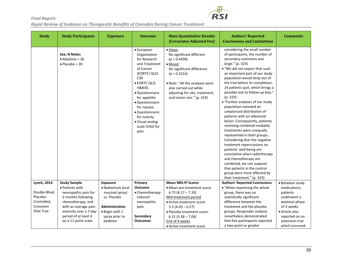

| <b>Study</b>                                                                | <b>Study Participants</b>                                                                                                                                                            | <b>Exposure</b>                                                                                                              | <b>Outcome</b>                                                                                                                                                                                                                                                                          | <b>Main Quantitative Results</b><br>[Covariates Adjusted For]                                                                                                                                                                                 | <b>Authors' Reported</b><br><b>Conclusions and Limitations</b>                                                                                                                                                                                                                                                                                                                                                                                                                                                                                                                                                                                                                                                                                                                                                                                                             | <b>Comments</b>                                                                                                                                 |
|-----------------------------------------------------------------------------|--------------------------------------------------------------------------------------------------------------------------------------------------------------------------------------|------------------------------------------------------------------------------------------------------------------------------|-----------------------------------------------------------------------------------------------------------------------------------------------------------------------------------------------------------------------------------------------------------------------------------------|-----------------------------------------------------------------------------------------------------------------------------------------------------------------------------------------------------------------------------------------------|----------------------------------------------------------------------------------------------------------------------------------------------------------------------------------------------------------------------------------------------------------------------------------------------------------------------------------------------------------------------------------------------------------------------------------------------------------------------------------------------------------------------------------------------------------------------------------------------------------------------------------------------------------------------------------------------------------------------------------------------------------------------------------------------------------------------------------------------------------------------------|-------------------------------------------------------------------------------------------------------------------------------------------------|
|                                                                             | Sex; N Males<br>$\bullet$ Nabilone = 26<br>$\bullet$ Placebo = 20                                                                                                                    |                                                                                                                              | • European<br>Organization<br>for Research<br>and Treatment<br>of Cancer<br>(EORTC) QLQ-<br>C30<br>· EORTC QLQ<br><b>H&amp;N35</b><br>• Questionnaire<br>for appetite<br>• Questionnaire<br>for nausea<br>· Questionnaire<br>for toxicity<br>• Visual analog<br>scale (VAS) for<br>pain | • Sleep:<br>No significant different<br>$(p = 0.4438)$<br>$•$ Mood:<br>No significant difference<br>$(p = 0.3214)$<br>. Note: "All the analyses were<br>also carried out while<br>adjusting for site, treatment,<br>and tumor size." (p. 319) | considering the small number<br>of participants, the number of<br>secondary outcomes was<br>large." (p. 323)<br>. "We did not expect that such<br>an important part of our study<br>population would drop out of<br>the trial before its completion;<br>24 patients quit, which brings a<br>possible lost to follow-up bias."<br>(p. 323)<br>• "Further analyses of our study<br>population revealed an<br>unbalanced distribution of<br>patients with an advanced<br>lesion. Consequently, patients<br>receiving combined modality<br>treatments were unequally<br>represented in both groups<br>Considering that the negative<br>treatment repercussions on<br>patients' well-being are<br>cumulative when radiotherapy<br>and chemotherapy are<br>combined, we can suppose<br>that patients in the control<br>group were more affected by<br>their treatment." (p. 323) |                                                                                                                                                 |
| <b>Lynch, 2014</b>                                                          | <b>Study Sample</b>                                                                                                                                                                  | Exposure                                                                                                                     | Primary                                                                                                                                                                                                                                                                                 | <b>Mean NRS-PI Scores</b>                                                                                                                                                                                                                     | <b>Authors' Reported Conclusions</b>                                                                                                                                                                                                                                                                                                                                                                                                                                                                                                                                                                                                                                                                                                                                                                                                                                       | · Between study                                                                                                                                 |
| Double-Blind,<br>Placebo-<br>Controlled,<br>Crossover<br><b>Pilot Trial</b> | • Patients with<br>neuropathic pain for<br>3 months following<br>chemotherapy, and<br>with an average pain<br>intensity over a 7-day<br>period of at least 4<br>on a 11-point scale. | • Nabiximols (oral<br>mucosal spray)<br>vs. Placebo<br>Administration<br>$\bullet$ Begin with 1<br>spray prior to<br>bedtime | <b>Outcome</b><br>• Chemotherapy-<br>induced<br>neuropathic<br>pain<br>Secondary<br><b>Outcomes</b>                                                                                                                                                                                     | • Mean pre-treatment score:<br>$6.75(6.17 - 7.33)$<br>Mid-treatment period<br>• Active treatment score:<br>$5.5(4.43 - 6.57)$<br>· Placebo treatment score:<br>$6.31(5.58 - 7.04)$<br>End of 4 weeks<br>• Active treatment score:             | • "When examining the whole<br>group, there was no<br>statistically significant<br>difference between the<br>treatment and the placebo<br>groups. Responder analysis<br>nonetheless demonstrated<br>that five participants reported<br>a two-point or greater                                                                                                                                                                                                                                                                                                                                                                                                                                                                                                                                                                                                              | medications,<br>patients<br>underwent a<br>washout phase<br>of 2-weeks<br>• Article also<br>reported on an<br>extension trial<br>which occurred |

**RS**